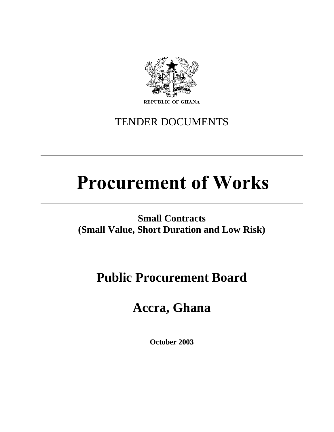

# TENDER DOCUMENTS

# **Procurement of Works**

#### **Small Contracts (Small Value, Short Duration and Low Risk)**

# **Public Procurement Board**

# **Accra, Ghana**

**October 2003**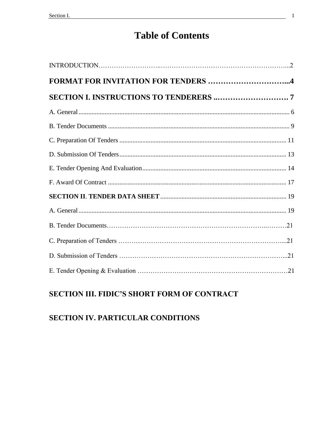#### **Table of Contents**

| <b>FORMAT FOR INVITATION FOR TENDERS 4</b> |  |
|--------------------------------------------|--|
|                                            |  |
|                                            |  |
|                                            |  |
|                                            |  |
|                                            |  |
|                                            |  |
|                                            |  |
|                                            |  |
|                                            |  |
|                                            |  |
|                                            |  |
|                                            |  |
|                                            |  |

#### **SECTION III. FIDIC'S SHORT FORM OF CONTRACT**

#### **SECTION IV. PARTICULAR CONDITIONS**

 $\overline{1}$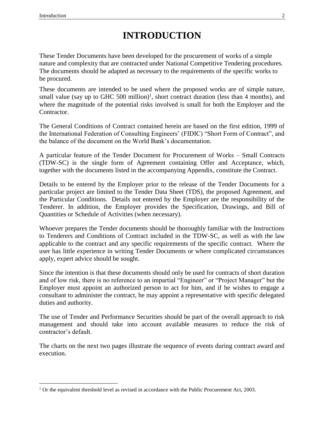$\overline{a}$ 

# **INTRODUCTION**

These Tender Documents have been developed for the procurement of works of a simple nature and complexity that are contracted under National Competitive Tendering procedures. The documents should be adapted as necessary to the requirements of the specific works to be procured.

These documents are intended to be used where the proposed works are of simple nature, small value (say up to GHC 500 million)<sup>1</sup>, short contract duration (less than 4 months), and where the magnitude of the potential risks involved is small for both the Employer and the Contractor.

The General Conditions of Contract contained herein are based on the first edition, 1999 of the International Federation of Consulting Engineers' (FIDIC) "Short Form of Contract", and the balance of the document on the World Bank's documentation.

A particular feature of the Tender Document for Procurement of Works – Small Contracts (TDW-SC) is the single form of Agreement containing Offer and Acceptance, which, together with the documents listed in the accompanying Appendix, constitute the Contract.

Details to be entered by the Employer prior to the release of the Tender Documents for a particular project are limited to the Tender Data Sheet (TDS), the proposed Agreement, and the Particular Conditions. Details not entered by the Employer are the responsibility of the Tenderer. In addition, the Employer provides the Specification, Drawings, and Bill of Quantities or Schedule of Activities (when necessary).

Whoever prepares the Tender documents should be thoroughly familiar with the Instructions to Tenderers and Conditions of Contract included in the TDW-SC, as well as with the law applicable to the contract and any specific requirements of the specific contract. Where the user has little experience in writing Tender Documents or where complicated circumstances apply, expert advice should be sought.

Since the intention is that these documents should only be used for contracts of short duration and of low risk, there is no reference to an impartial "Engineer" or "Project Manager" but the Employer must appoint an authorized person to act for him, and if he wishes to engage a consultant to administer the contract, he may appoint a representative with specific delegated duties and authority.

The use of Tender and Performance Securities should be part of the overall approach to risk management and should take into account available measures to reduce the risk of contractor's default.

The charts on the next two pages illustrate the sequence of events during contract award and execution.

<sup>&</sup>lt;sup>1</sup> Or the equivalent threshold level as revised in accordance with the Public Procurement Act, 2003.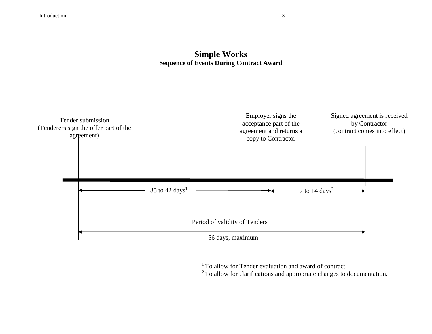#### **Simple Works Sequence of Events During Contract Award**



<sup>1</sup> To allow for Tender evaluation and award of contract.

<sup>2</sup> To allow for clarifications and appropriate changes to documentation.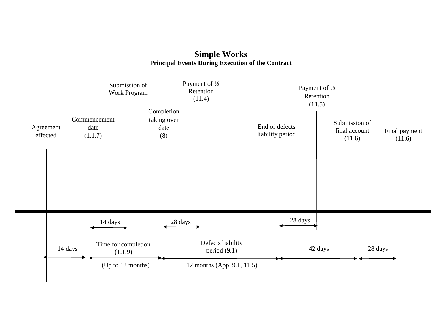#### **Simple Works Principal Events During Execution of the Contract**

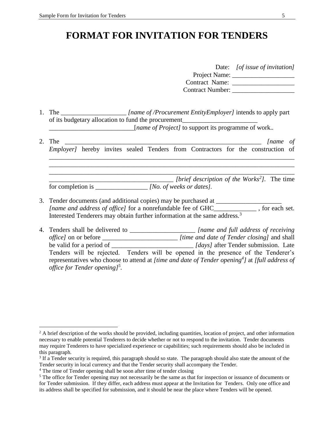#### **FORMAT FOR INVITATION FOR TENDERS**

|                         | Date: [of issue of invitation] |
|-------------------------|--------------------------------|
| Project Name: ____      |                                |
| Contract Name:          |                                |
| <b>Contract Number:</b> |                                |

1. The \_\_\_\_\_\_\_\_\_\_\_\_\_\_\_\_\_\_\_\_ *[name of /Procurement EntityEmployer]* intends to apply part of its budgetary allocation to fund the procurement\_\_\_\_\_\_\_\_\_\_\_\_\_\_\_\_\_\_\_\_\_\_\_\_\_\_\_\_\_\_ \_\_\_\_\_\_\_\_\_\_\_\_\_\_\_\_\_\_\_\_\_\_\_\_\_\_[*name of Project]* to support its programme of work.*.*

2. The \_\_\_\_\_\_\_\_\_\_\_\_\_\_\_\_\_\_\_\_\_\_\_\_\_\_\_\_\_\_\_\_\_\_\_\_\_\_\_\_\_\_\_\_\_\_\_\_\_\_\_\_\_\_\_\_\_\_\_\_ *[name of Employer]* hereby invites sealed Tenders from Contractors for the construction of \_\_\_\_\_\_\_\_\_\_\_\_\_\_\_\_\_\_\_\_\_\_\_\_\_\_\_\_\_\_\_\_\_\_\_\_\_\_\_\_\_\_\_\_\_\_\_\_\_\_\_\_\_\_\_\_\_\_\_\_\_\_\_\_\_\_\_\_\_\_\_\_\_\_\_

\_\_\_\_\_\_\_\_\_\_\_\_\_\_\_\_\_\_\_\_\_\_\_\_\_\_\_\_\_\_\_\_\_\_\_\_\_\_ *[brief description of the Works<sup>2</sup> ].* The time for completion is \_\_\_\_\_\_\_\_\_\_\_\_\_\_\_\_ *[No. of weeks or dates].*

\_\_\_\_\_\_\_\_\_\_\_\_\_\_\_\_\_\_\_\_\_\_\_\_\_\_\_\_\_\_\_\_\_\_\_\_\_\_\_\_\_\_\_\_\_\_\_\_\_\_\_\_\_\_\_\_\_\_\_\_\_\_\_\_\_\_\_\_\_\_\_\_\_\_\_ \_\_\_\_\_\_\_\_\_\_\_\_\_\_\_\_\_\_\_\_\_\_\_\_\_\_\_\_\_\_\_\_\_\_\_\_\_\_\_\_\_\_\_\_\_\_\_\_\_\_\_\_\_\_\_\_\_\_\_\_\_\_\_\_\_\_\_\_\_\_\_\_\_\_\_

- 3. Tender documents (and additional copies) may be purchased at \_\_\_\_\_\_\_\_\_\_\_\_\_\_\_\_ *[name and address of office]* for a nonrefundable fee of GHC\_\_\_\_\_\_\_\_\_\_\_\_\_ , for each set. Interested Tenderers may obtain further information at the same address.<sup>3</sup>
- 4. Tenders shall be delivered to \_\_\_\_\_\_\_\_\_\_\_\_\_\_\_\_\_\_\_\_ *[name and full address of receiving office]* on or before \_\_\_\_\_\_\_\_\_\_\_\_\_\_\_\_\_\_\_\_\_\_\_ *[time and date of Tender closing]* and shall be valid for a period of \_\_\_\_\_\_\_\_\_\_\_\_\_\_\_\_\_\_\_\_\_\_\_\_\_ *[days]* after Tender submission. Late Tenders will be rejected. Tenders will be opened in the presence of the Tenderer's representatives who choose to attend at *[time and date of Tender opening<sup>4</sup> ]* at *[full address of office for Tender opening]<sup>5</sup> .*

 $\overline{a}$ 

 $2$  A brief description of the works should be provided, including quantities, location of project, and other information necessary to enable potential Tenderers to decide whether or not to respond to the invitation. Tender documents may require Tenderers to have specialized experience or capabilities; such requirements should also be included in this paragraph.

<sup>&</sup>lt;sup>3</sup> If a Tender security is required, this paragraph should so state. The paragraph should also state the amount of the Tender security in local currency and that the Tender security shall accompany the Tender.

<sup>&</sup>lt;sup>4</sup> The time of Tender opening shall be soon after time of tender closing

<sup>&</sup>lt;sup>5</sup> The office for Tender opening may not necessarily be the same as that for inspection or issuance of documents or for Tender submission. If they differ, each address must appear at the Invitation for Tenders. Only one office and its address shall be specified for submission, and it should be near the place where Tenders will be opened.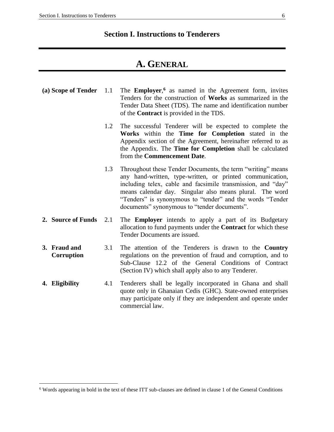$\overline{a}$ 

#### **Section I. Instructions to Tenderers**

#### **A. GENERAL**

- <span id="page-7-0"></span>**(a) Scope of Tender** 1.1 The **Employer**, $6$  as named in the Agreement form, invites Tenders for the construction of **Works** as summarized in the Tender Data Sheet (TDS). The name and identification number of the **Contract** is provided in the TDS.
	- 1.2 The successful Tenderer will be expected to complete the **Works** within the **Time for Completion** stated in the Appendix section of the Agreement, hereinafter referred to as the Appendix. The **Time for Completion** shall be calculated from the **Commencement Date**.
	- 1.3 Throughout these Tender Documents, the term "writing" means any hand-written, type-written, or printed communication, including telex, cable and facsimile transmission, and "day" means calendar day. Singular also means plural. The word "Tenders" is synonymous to "tender" and the words "Tender documents" synonymous to "tender documents".
- **2. Source of Funds** 2.1 The **Employer** intends to apply a part of its Budgetary allocation to fund payments under the **Contract** for which these Tender Documents are issued.
- **3. Fraud and Corruption** 3.1 The attention of the Tenderers is drawn to the **Country** regulations on the prevention of fraud and corruption, and to Sub-Clause 12.2 of the General Conditions of Contract (Section IV) which shall apply also to any Tenderer.
- **4. Eligibility** 4.1 Tenderers shall be legally incorporated in Ghana and shall quote only in Ghanaian Cedis (GHC). State-owned enterprises may participate only if they are independent and operate under commercial law.

<sup>6</sup> Words appearing in bold in the text of these ITT sub-clauses are defined in clause 1 of the General Conditions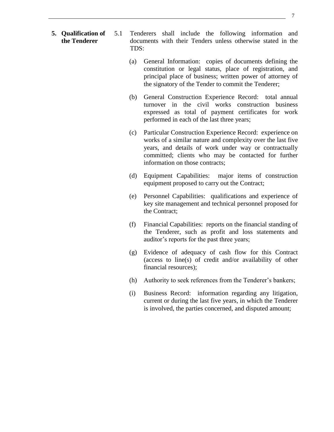- **5. Qualification of the Tenderer**
- 5.1 Tenderers shall include the following information and documents with their Tenders unless otherwise stated in the TDS:
	- (a) General Information: copies of documents defining the constitution or legal status, place of registration, and principal place of business; written power of attorney of the signatory of the Tender to commit the Tenderer;
	- (b) General Construction Experience Record: total annual turnover in the civil works construction business expressed as total of payment certificates for work performed in each of the last three years;
	- (c) Particular Construction Experience Record: experience on works of a similar nature and complexity over the last five years, and details of work under way or contractually committed; clients who may be contacted for further information on those contracts;
	- (d) Equipment Capabilities: major items of construction equipment proposed to carry out the Contract;
	- (e) Personnel Capabilities: qualifications and experience of key site management and technical personnel proposed for the Contract;
	- (f) Financial Capabilities: reports on the financial standing of the Tenderer, such as profit and loss statements and auditor's reports for the past three years;
	- (g) Evidence of adequacy of cash flow for this Contract (access to line(s) of credit and/or availability of other financial resources);
	- (h) Authority to seek references from the Tenderer's bankers;
	- (i) Business Record: information regarding any litigation, current or during the last five years, in which the Tenderer is involved, the parties concerned, and disputed amount;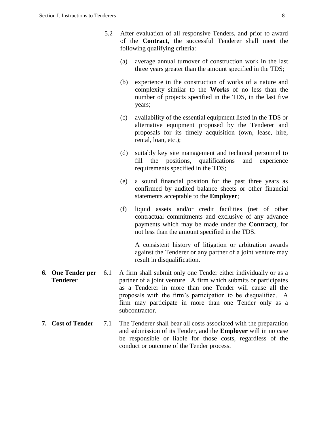|                                      | 5.2 |     | After evaluation of all responsive Tenders, and prior to award<br>of the <b>Contract</b> , the successful Tenderer shall meet the<br>following qualifying criteria:                                                                                                                                                                          |
|--------------------------------------|-----|-----|----------------------------------------------------------------------------------------------------------------------------------------------------------------------------------------------------------------------------------------------------------------------------------------------------------------------------------------------|
|                                      |     | (a) | average annual turnover of construction work in the last<br>three years greater than the amount specified in the TDS;                                                                                                                                                                                                                        |
|                                      |     | (b) | experience in the construction of works of a nature and<br>complexity similar to the Works of no less than the<br>number of projects specified in the TDS, in the last five<br>years;                                                                                                                                                        |
|                                      |     | (c) | availability of the essential equipment listed in the TDS or<br>alternative equipment proposed by the Tenderer and<br>proposals for its timely acquisition (own, lease, hire,<br>rental, loan, etc.);                                                                                                                                        |
|                                      |     | (d) | suitably key site management and technical personnel to<br>the positions, qualifications<br>fill<br>and<br>experience<br>requirements specified in the TDS;                                                                                                                                                                                  |
|                                      |     | (e) | a sound financial position for the past three years as<br>confirmed by audited balance sheets or other financial<br>statements acceptable to the <b>Employer</b> ;                                                                                                                                                                           |
|                                      |     | (f) | liquid assets and/or credit facilities (net of other<br>contractual commitments and exclusive of any advance<br>payments which may be made under the Contract), for<br>not less than the amount specified in the TDS.                                                                                                                        |
|                                      |     |     | A consistent history of litigation or arbitration awards<br>against the Tenderer or any partner of a joint venture may<br>result in disqualification.                                                                                                                                                                                        |
| 6. One Tender per<br><b>Tenderer</b> | 6.1 |     | A firm shall submit only one Tender either individually or as a<br>partner of a joint venture. A firm which submits or participates<br>as a Tenderer in more than one Tender will cause all the<br>proposals with the firm's participation to be disqualified. A<br>firm may participate in more than one Tender only as a<br>subcontractor. |

**7. Cost of Tender** 7.1 The Tenderer shall bear all costs associated with the preparation and submission of its Tender, and the **Employer** will in no case be responsible or liable for those costs, regardless of the conduct or outcome of the Tender process.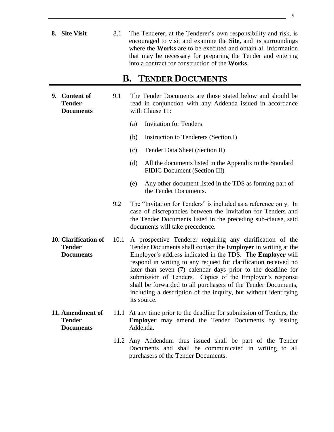#### **B. TENDER DOCUMENTS**

- <span id="page-10-0"></span>**9. Content of Tender Documents** 9.1 The Tender Documents are those stated below and should be read in conjunction with any Addenda issued in accordance with Clause 11: (a) Invitation for Tenders
	- (b) Instruction to Tenderers (Section I)
	- (c) Tender Data Sheet (Section II)
	- (d) All the documents listed in the Appendix to the Standard FIDIC Document (Section III)
	- (e) Any other document listed in the TDS as forming part of the Tender Documents.
	- 9.2 The "Invitation for Tenders" is included as a reference only. In case of discrepancies between the Invitation for Tenders and the Tender Documents listed in the preceding sub-clause, said documents will take precedence.
- **10. Clarification of Tender Documents** 10.1 A prospective Tenderer requiring any clarification of the Tender Documents shall contact the **Employer** in writing at the Employer's address indicated in the TDS. The **Employer** will respond in writing to any request for clarification received no later than seven (7) calendar days prior to the deadline for submission of Tenders. Copies of the Employer's response shall be forwarded to all purchasers of the Tender Documents, including a description of the inquiry, but without identifying its source.
- **11. Amendment of Tender Documents** 11.1 At any time prior to the deadline for submission of Tenders, the **Employer** may amend the Tender Documents by issuing Addenda.
	- 11.2 Any Addendum thus issued shall be part of the Tender Documents and shall be communicated in writing to all purchasers of the Tender Documents.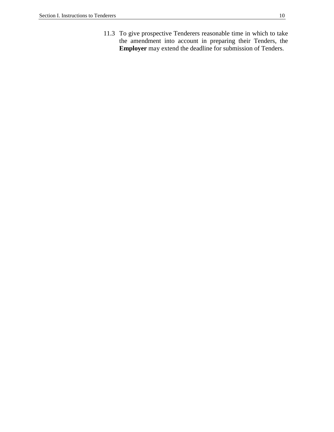11.3 To give prospective Tenderers reasonable time in which to take the amendment into account in preparing their Tenders, the **Employer** may extend the deadline for submission of Tenders.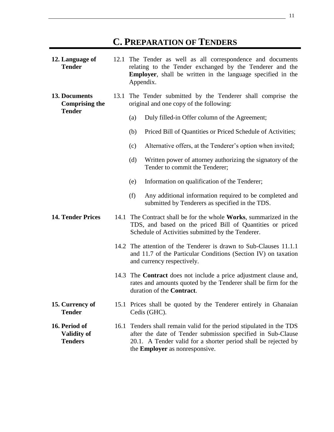# **C. PREPARATION OF TENDERS**

<span id="page-12-0"></span>

| 12. Language of<br><b>Tender</b>                      |      | 12.1 The Tender as well as all correspondence and documents<br>relating to the Tender exchanged by the Tenderer and the<br><b>Employer</b> , shall be written in the language specified in the<br>Appendix.                               |
|-------------------------------------------------------|------|-------------------------------------------------------------------------------------------------------------------------------------------------------------------------------------------------------------------------------------------|
| 13. Documents<br><b>Comprising the</b>                |      | 13.1 The Tender submitted by the Tenderer shall comprise the<br>original and one copy of the following:                                                                                                                                   |
| <b>Tender</b>                                         |      | Duly filled-in Offer column of the Agreement;<br>(a)                                                                                                                                                                                      |
|                                                       |      | Priced Bill of Quantities or Priced Schedule of Activities;<br>(b)                                                                                                                                                                        |
|                                                       |      | Alternative offers, at the Tenderer's option when invited;<br>(c)                                                                                                                                                                         |
|                                                       |      | Written power of attorney authorizing the signatory of the<br>(d)<br>Tender to commit the Tenderer;                                                                                                                                       |
|                                                       |      | Information on qualification of the Tenderer;<br>(e)                                                                                                                                                                                      |
|                                                       |      | Any additional information required to be completed and<br>(f)<br>submitted by Tenderers as specified in the TDS.                                                                                                                         |
| <b>14. Tender Prices</b>                              |      | 14.1 The Contract shall be for the whole <b>Works</b> , summarized in the<br>TDS, and based on the priced Bill of Quantities or priced<br>Schedule of Activities submitted by the Tenderer.                                               |
|                                                       |      | 14.2 The attention of the Tenderer is drawn to Sub-Clauses 11.1.1<br>and 11.7 of the Particular Conditions (Section IV) on taxation<br>and currency respectively.                                                                         |
|                                                       |      | 14.3 The Contract does not include a price adjustment clause and,<br>rates and amounts quoted by the Tenderer shall be firm for the<br>duration of the Contract.                                                                          |
| 15. Currency of<br><b>Tender</b>                      |      | 15.1 Prices shall be quoted by the Tenderer entirely in Ghanaian<br>Cedis (GHC).                                                                                                                                                          |
| 16. Period of<br><b>Validity of</b><br><b>Tenders</b> | 16.1 | Tenders shall remain valid for the period stipulated in the TDS<br>after the date of Tender submission specified in Sub-Clause<br>20.1. A Tender valid for a shorter period shall be rejected by<br>the <b>Employer</b> as nonresponsive. |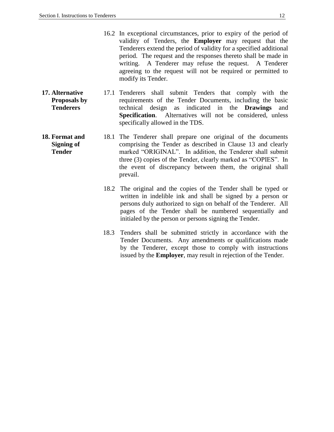- 16.2 In exceptional circumstances, prior to expiry of the period of validity of Tenders, the **Employer** may request that the Tenderers extend the period of validity for a specified additional period. The request and the responses thereto shall be made in writing. A Tenderer may refuse the request. A Tenderer agreeing to the request will not be required or permitted to modify its Tender.
- **17. Alternative Proposals by Tenderers** 17.1 Tenderers shall submit Tenders that comply with the requirements of the Tender Documents, including the basic technical design as indicated in the **Drawings** and **Specification**. Alternatives will not be considered, unless specifically allowed in the TDS.
- **18. Format and Signing of Tender** 18.1 The Tenderer shall prepare one original of the documents comprising the Tender as described in Clause 13 and clearly marked "ORIGINAL". In addition, the Tenderer shall submit three (3) copies of the Tender, clearly marked as "COPIES". In the event of discrepancy between them, the original shall prevail.
	- 18.2 The original and the copies of the Tender shall be typed or written in indelible ink and shall be signed by a person or persons duly authorized to sign on behalf of the Tenderer. All pages of the Tender shall be numbered sequentially and initialed by the person or persons signing the Tender.
	- 18.3 Tenders shall be submitted strictly in accordance with the Tender Documents. Any amendments or qualifications made by the Tenderer, except those to comply with instructions issued by the **Employer**, may result in rejection of the Tender.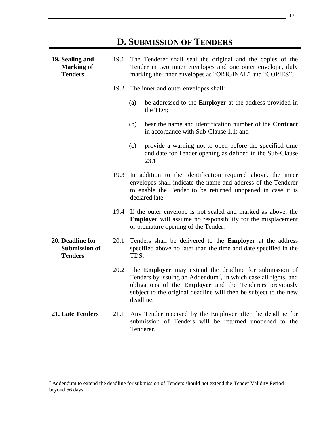# **D. SUBMISSION OF TENDERS**

<span id="page-14-0"></span>

| 19. Sealing and<br><b>Marking of</b><br><b>Tenders</b>     | 19.1 | The Tenderer shall seal the original and the copies of the<br>Tender in two inner envelopes and one outer envelope, duly<br>marking the inner envelopes as "ORIGINAL" and "COPIES".                                                                                                |  |
|------------------------------------------------------------|------|------------------------------------------------------------------------------------------------------------------------------------------------------------------------------------------------------------------------------------------------------------------------------------|--|
|                                                            |      | 19.2 The inner and outer envelopes shall:                                                                                                                                                                                                                                          |  |
|                                                            |      | be addressed to the <b>Employer</b> at the address provided in<br>(a)<br>the TDS;                                                                                                                                                                                                  |  |
|                                                            |      | bear the name and identification number of the <b>Contract</b><br>(b)<br>in accordance with Sub-Clause 1.1; and                                                                                                                                                                    |  |
|                                                            |      | (c)<br>provide a warning not to open before the specified time<br>and date for Tender opening as defined in the Sub-Clause<br>23.1.                                                                                                                                                |  |
|                                                            | 19.3 | In addition to the identification required above, the inner<br>envelopes shall indicate the name and address of the Tenderer<br>to enable the Tender to be returned unopened in case it is<br>declared late.                                                                       |  |
|                                                            | 19.4 | If the outer envelope is not sealed and marked as above, the<br><b>Employer</b> will assume no responsibility for the misplacement<br>or premature opening of the Tender.                                                                                                          |  |
| 20. Deadline for<br><b>Submission of</b><br><b>Tenders</b> | 20.1 | Tenders shall be delivered to the <b>Employer</b> at the address<br>specified above no later than the time and date specified in the<br>TDS.                                                                                                                                       |  |
|                                                            | 20.2 | The Employer may extend the deadline for submission of<br>Tenders by issuing an Addendum <sup>7</sup> , in which case all rights, and<br>obligations of the Employer and the Tenderers previously<br>subject to the original deadline will then be subject to the new<br>deadline. |  |
| 21. Late Tenders                                           | 21.1 | Any Tender received by the Employer after the deadline for<br>submission of Tenders will be returned unopened to the<br>Tenderer.                                                                                                                                                  |  |

 $\overline{a}$ 

 $^7$  Addendum to extend the deadline for submission of Tenders should not extend the Tender Validity Period beyond 56 days.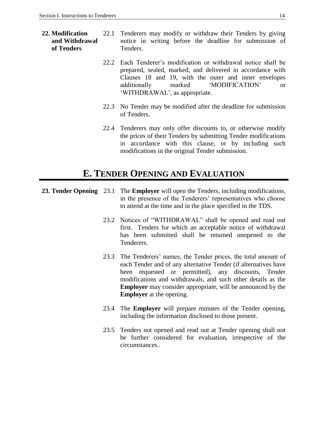- **22. Modification and Withdrawal of Tenders**
- 22.1 Tenderers may modify or withdraw their Tenders by giving notice in writing before the deadline for submission of Tenders.
	- 22.2 Each Tenderer's modification or withdrawal notice shall be prepared, sealed, marked, and delivered in accordance with Clauses 18 and 19, with the outer and inner envelopes additionally marked 'MODIFICATION' or 'WITHDRAWAL', as appropriate.
	- 22.3 No Tender may be modified after the deadline for submission of Tenders.
	- 22.4 Tenderers may only offer discounts to, or otherwise modify the prices of their Tenders by submitting Tender modifications in accordance with this clause, or by including such modifications in the original Tender submission.

#### **E. TENDER OPENING AND EVALUATION**

- <span id="page-15-0"></span>**23. Tender Opening** 23.1 The **Employer** will open the Tenders, including modifications, in the presence of the Tenderers' representatives who choose to attend at the time and in the place specified in the TDS.
	- 23.2 Notices of "WITHDRAWAL" shall be opened and read out first. Tenders for which an acceptable notice of withdrawal has been submitted shall be returned unopened to the Tenderers.
	- 23.3 The Tenderers' names, the Tender prices, the total amount of each Tender and of any alternative Tender (if alternatives have been requested or permitted), any discounts, Tender modifications and withdrawals, and such other details as the **Employer** may consider appropriate, will be announced by the **Employer** at the opening.
	- 23.4 The **Employer** will prepare minutes of the Tender opening, including the information disclosed to those present.
	- 23.5 Tenders not opened and read out at Tender opening shall not be further considered for evaluation, irrespective of the circumstances..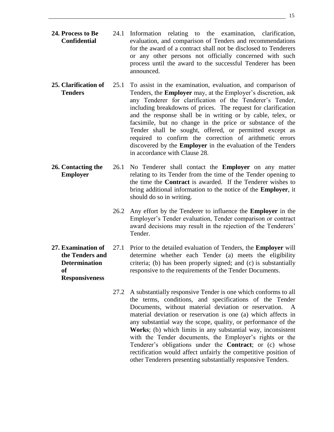- **24. Process to Be Confidential** 24.1 Information relating to the examination, clarification, evaluation, and comparison of Tenders and recommendations for the award of a contract shall not be disclosed to Tenderers or any other persons not officially concerned with such process until the award to the successful Tenderer has been announced.
- **25. Clarification of Tenders** 25.1 To assist in the examination, evaluation, and comparison of Tenders, the **Employer** may, at the Employer's discretion, ask any Tenderer for clarification of the Tenderer's Tender, including breakdowns of prices. The request for clarification and the response shall be in writing or by cable, telex, or facsimile, but no change in the price or substance of the Tender shall be sought, offered, or permitted except as required to confirm the correction of arithmetic errors discovered by the **Employer** in the evaluation of the Tenders in accordance with Clause 28.
- **26. Contacting the Employer** 26.1 No Tenderer shall contact the **Employer** on any matter relating to its Tender from the time of the Tender opening to the time the **Contract** is awarded. If the Tenderer wishes to bring additional information to the notice of the **Employer**, it should do so in writing.
	- 26.2 Any effort by the Tenderer to influence the **Employer** in the Employer's Tender evaluation, Tender comparison or contract award decisions may result in the rejection of the Tenderers' Tender.
- **27. Examination of the Tenders and Determination of Responsiveness** 27.1 Prior to the detailed evaluation of Tenders, the **Employer** will determine whether each Tender (a) meets the eligibility criteria; (b) has been properly signed; and (c) is substantially responsive to the requirements of the Tender Documents.
	- 27.2 A substantially responsive Tender is one which conforms to all the terms, conditions, and specifications of the Tender Documents, without material deviation or reservation. A material deviation or reservation is one (a) which affects in any substantial way the scope, quality, or performance of the **Works**; (b) which limits in any substantial way, inconsistent with the Tender documents, the Employer's rights or the Tenderer's obligations under the **Contract**; or (c) whose rectification would affect unfairly the competitive position of other Tenderers presenting substantially responsive Tenders.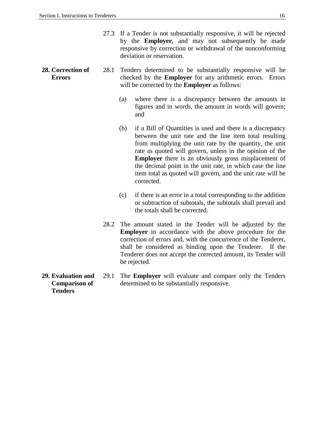- 27.3 If a Tender is not substantially responsive, it will be rejected by the **Employer**, and may not subsequently be made responsive by correction or withdrawal of the nonconforming deviation or reservation.
- **28. Correction of Errors** 28.1 Tenders determined to be substantially responsive will be checked by the **Employer** for any arithmetic errors. Errors will be corrected by the **Employer** as follows:
	- (a) where there is a discrepancy between the amounts in figures and in words, the amount in words will govern; and
	- (b) if a Bill of Quantities is used and there is a discrepancy between the unit rate and the line item total resulting from multiplying the unit rate by the quantity, the unit rate as quoted will govern, unless in the opinion of the **Employer** there is an obviously gross misplacement of the decimal point in the unit rate, in which case the line item total as quoted will govern, and the unit rate will be corrected.
	- (c) if there is an error in a total corresponding to the addition or subtraction of subtotals, the subtotals shall prevail and the totals shall be corrected.
	- 28.2 The amount stated in the Tender will be adjusted by the **Employer** in accordance with the above procedure for the correction of errors and, with the concurrence of the Tenderer, shall be considered as binding upon the Tenderer. If the Tenderer does not accept the corrected amount, its Tender will be rejected.
- **29. Evaluation and Comparison of Tenders** 29.1 The **Employer** will evaluate and compare only the Tenders determined to be substantially responsive.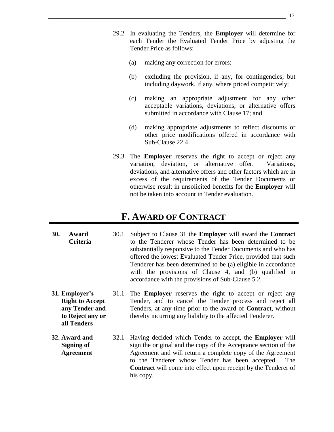- 29.2 In evaluating the Tenders, the **Employer** will determine for each Tender the Evaluated Tender Price by adjusting the Tender Price as follows:
	- (a) making any correction for errors;
	- (b) excluding the provision, if any, for contingencies, but including daywork, if any, where priced competitively;
	- (c) making an appropriate adjustment for any other acceptable variations, deviations, or alternative offers submitted in accordance with Clause 17; and
	- (d) making appropriate adjustments to reflect discounts or other price modifications offered in accordance with Sub-Clause 22.4.
- 29.3 The **Employer** reserves the right to accept or reject any variation, deviation, or alternative offer. Variations, deviations, and alternative offers and other factors which are in excess of the requirements of the Tender Documents or otherwise result in unsolicited benefits for the **Employer** will not be taken into account in Tender evaluation.

#### **F. AWARD OF CONTRACT**

- <span id="page-18-0"></span>**30. Award Criteria** 30.1 Subject to Clause 31 the **Employer** will award the **Contract** to the Tenderer whose Tender has been determined to be substantially responsive to the Tender Documents and who has offered the lowest Evaluated Tender Price, provided that such Tenderer has been determined to be (a) eligible in accordance with the provisions of Clause 4, and (b) qualified in accordance with the provisions of Sub-Clause 5.2.
- **31. Employer's Right to Accept any Tender and to Reject any or all Tenders** 31.1 The **Employer** reserves the right to accept or reject any Tender, and to cancel the Tender process and reject all Tenders, at any time prior to the award of **Contract**, without thereby incurring any liability to the affected Tenderer.
- **32. Award and Signing of Agreement** 32.1 Having decided which Tender to accept, the **Employer** will sign the original and the copy of the Acceptance section of the Agreement and will return a complete copy of the Agreement to the Tenderer whose Tender has been accepted. The **Contract** will come into effect upon receipt by the Tenderer of his copy.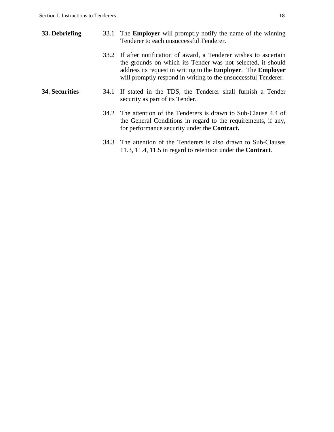| 33. Debriefing | 33.1 The <b>Employer</b> will promptly notify the name of the winning<br>Tenderer to each unsuccessful Tenderer.                                                                                                                                                                    |
|----------------|-------------------------------------------------------------------------------------------------------------------------------------------------------------------------------------------------------------------------------------------------------------------------------------|
|                | 33.2 If after notification of award, a Tenderer wishes to ascertain<br>the grounds on which its Tender was not selected, it should<br>address its request in writing to the <b>Employer</b> . The <b>Employer</b><br>will promptly respond in writing to the unsuccessful Tenderer. |
| 34. Securities | 34.1 If stated in the TDS, the Tenderer shall furnish a Tender<br>security as part of its Tender.                                                                                                                                                                                   |
|                | 34.2 The attention of the Tenderers is drawn to Sub-Clause 4.4 of<br>the General Conditions in regard to the requirements, if any,<br>for performance security under the <b>Contract.</b>                                                                                           |
|                | 34.3 The attention of the Tenderers is also drawn to Sub-Clauses<br>11.3, 11.4, 11.5 in regard to retention under the <b>Contract</b> .                                                                                                                                             |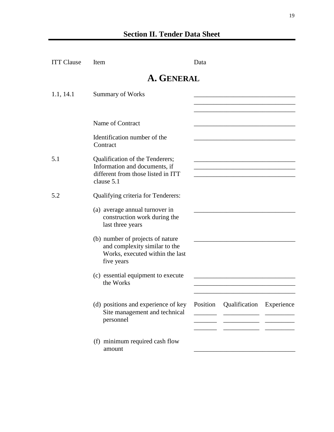<span id="page-20-1"></span><span id="page-20-0"></span>

| <b>ITT Clause</b> | Item                                                                                                                 | Data |  |
|-------------------|----------------------------------------------------------------------------------------------------------------------|------|--|
|                   | A. GENERAL                                                                                                           |      |  |
| 1.1, 14.1         | <b>Summary of Works</b>                                                                                              |      |  |
|                   | Name of Contract                                                                                                     |      |  |
|                   | Identification number of the<br>Contract                                                                             |      |  |
| 5.1               | Qualification of the Tenderers;<br>Information and documents, if<br>different from those listed in ITT<br>clause 5.1 |      |  |
| 5.2               | Qualifying criteria for Tenderers:                                                                                   |      |  |
|                   | (a) average annual turnover in<br>construction work during the<br>last three years                                   |      |  |
|                   | (b) number of projects of nature<br>and complexity similar to the<br>Works, executed within the last<br>five years   |      |  |
|                   | (c) essential equipment to execute<br>the Works                                                                      |      |  |
|                   | (d) positions and experience of key Position Qualification Experience<br>Site management and technical<br>personnel  |      |  |
|                   | (f) minimum required cash flow<br>amount                                                                             |      |  |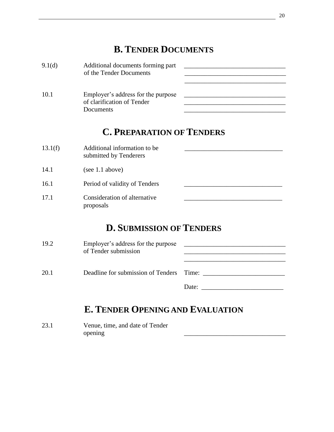#### **B. TENDER DOCUMENTS**

| 9.1(d) | Additional documents forming part<br>of the Tender Documents                  |  |
|--------|-------------------------------------------------------------------------------|--|
| 10.1   | Employer's address for the purpose<br>of clarification of Tender<br>Documents |  |

# **C. PREPARATION OF TENDERS**

| 13.1(f) | Additional information to be<br>submitted by Tenderers |  |
|---------|--------------------------------------------------------|--|
| 14.1    | (see 1.1 above)                                        |  |
| 16.1    | Period of validity of Tenders                          |  |
| 17.1    | Consideration of alternative<br>proposals              |  |

### **D. SUBMISSION OF TENDERS**

| 19.2 | Employer's address for the purpose<br>of Tender submission |       |
|------|------------------------------------------------------------|-------|
| 20.1 | Deadline for submission of Tenders Time:                   |       |
|      |                                                            | Date: |

# **E. TENDER OPENING AND EVALUATION**

| 23.1 | Venue, time, and date of Tender |  |
|------|---------------------------------|--|
|      | opening                         |  |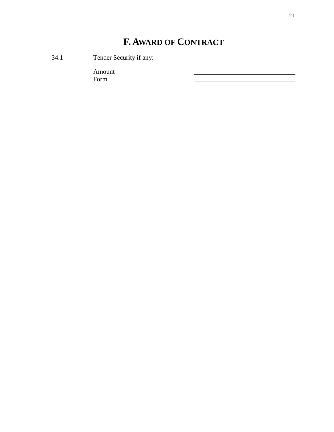34.1 Tender Security if any:

Amount Form

\_\_\_\_\_\_\_\_\_\_\_\_\_\_\_\_\_\_\_\_\_\_\_\_\_\_\_\_\_\_\_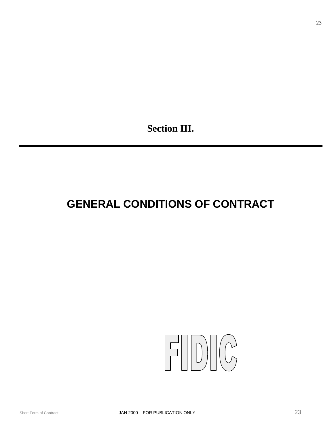**Section III.**

# **GENERAL CONDITIONS OF CONTRACT**

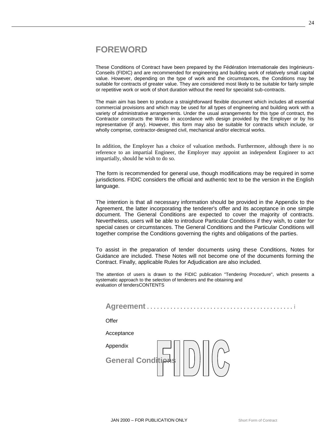#### **FOREWORD**

These Conditions of Contract have been prepared by the Fédération Internationale des Ingénieurs-Conseils (FIDIC) and are recommended for engineering and building work of relatively small capital value. However, depending on the type of work and the circumstances, the Conditions may be suitable for contracts of greater value. They are considered most likely to be suitable for fairly simple or repetitive work or work of short duration without the need for specialist sub-contracts.

The main aim has been to produce a straightforward flexible document which includes all essential commercial provisions and which may be used for all types of engineering and building work with a variety of administrative arrangements. Under the usual arrangements for this type of contract, the Contractor constructs the Works in accordance with design provided by the Employer or by his representative (if any). However, this form may also be suitable for contracts which include, or wholly comprise, contractor-designed civil, mechanical and/or electrical works.

In addition, the Employer has a choice of valuation methods. Furthermore, although there is no reference to an impartial Engineer, the Employer may appoint an independent Engineer to act impartially, should he wish to do so.

The form is recommended for general use, though modifications may be required in some jurisdictions. FIDIC considers the official and authentic text to be the version in the English language.

The intention is that all necessary information should be provided in the Appendix to the Agreement, the latter incorporating the tenderer's offer and its acceptance in one simple document. The General Conditions are expected to cover the majority of contracts. Nevertheless, users will be able to introduce Particular Conditions if they wish, to cater for special cases or circumstances. The General Conditions and the Particular Conditions will together comprise the Conditions governing the rights and obligations of the parties.

To assist in the preparation of tender documents using these Conditions, Notes for Guidance are included. These Notes will not become one of the documents forming the Contract. Finally, applicable Rules for Adjudication are also included.

The attention of users is drawn to the FIDIC publication "Tendering Procedure", which presents a systematic approach to the selection of tenderers and the obtaining and evaluation of tendersCONTENTS

| Offer                                 |
|---------------------------------------|
| Acceptance                            |
| Appendix<br><b>General Conditions</b> |
|                                       |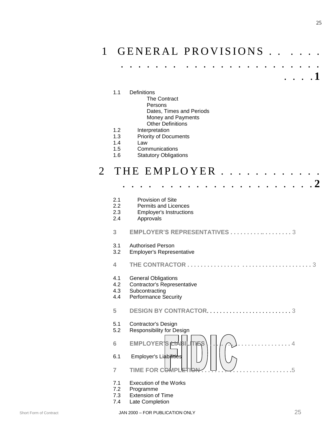# 1 GENERAL PROVISIONS . . . . . .

### . . . . **1**

| 1.1 Definitions          |
|--------------------------|
| The Contract             |
| Persons                  |
| Dates, Times and Periods |
| Money and Payments       |
| <b>Other Definitions</b> |

- 1.2 Interpretation<br>1.3 Priority of Doc
- Priority of Documents
- 1.4 Law<br>1.5 Com
- **Communications**
- 1.6 Statutory Obligations

| 2 THE EMPLOYER |  |  |  |  |  |  |  |  |
|----------------|--|--|--|--|--|--|--|--|
|                |  |  |  |  |  |  |  |  |

. . . . . . . . . . . . . . . . . . . . . . .

| 2.1<br>2.2<br>2.3<br>2.4 | <b>Provision of Site</b><br><b>Permits and Licences</b><br><b>Employer's Instructions</b><br>Approvals     |
|--------------------------|------------------------------------------------------------------------------------------------------------|
| 3                        | EMPLOYER'S REPRESENTATIVES 3                                                                               |
| 3.1<br>3.2               | <b>Authorised Person</b><br><b>Employer's Representative</b>                                               |
| 4                        |                                                                                                            |
| 4.1<br>4.2<br>4.3<br>4.4 | <b>General Obligations</b><br>Contractor's Representative<br>Subcontracting<br><b>Performance Security</b> |
| 5                        | DESIGN BY CONTRACTOR                                                                                       |
| 5.1<br>5.2               | Contractor's Design<br><b>Responsibility for Design</b>                                                    |
| 6                        | <b>EMPLOYER'S LIAB</b><br>.                                                                                |
| 6.1                      | Employer's Liabilities                                                                                     |
| $\overline{7}$           | TIME FOR COM                                                                                               |
| 7.1<br>7.2<br>7.3        | <b>Execution of the Works</b><br>Programme<br><b>Extension of Time</b>                                     |

- 
- 7.4 Late Completion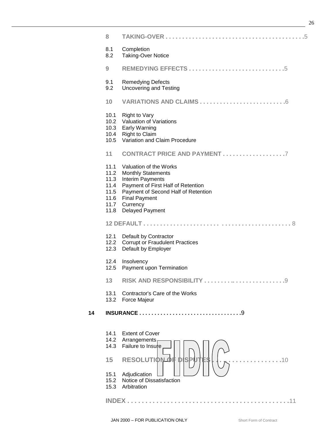|    | 8                                                    |                                                                                                                                                                                                                                                                                                     |
|----|------------------------------------------------------|-----------------------------------------------------------------------------------------------------------------------------------------------------------------------------------------------------------------------------------------------------------------------------------------------------|
|    | 8.1<br>8.2                                           | Completion<br><b>Taking-Over Notice</b>                                                                                                                                                                                                                                                             |
|    | 9                                                    |                                                                                                                                                                                                                                                                                                     |
|    | 9.1<br>9.2                                           | <b>Remedying Defects</b><br><b>Uncovering and Testing</b>                                                                                                                                                                                                                                           |
|    | 10                                                   |                                                                                                                                                                                                                                                                                                     |
|    | 10.1<br>10.2<br>10.5                                 | Right to Vary<br><b>Valuation of Variations</b><br>10.3 Early Warning<br>10.4 Right to Claim<br>Variation and Claim Procedure                                                                                                                                                                       |
|    | 11                                                   | CONTRACT PRICE AND PAYMENT7                                                                                                                                                                                                                                                                         |
|    | 11.1<br>11.2<br>11.3<br>11.4<br>11.5<br>11.6<br>11.8 | Valuation of the Works<br><b>Monthly Statements</b><br><b>Interim Payments</b><br>Payment of First Half of Retention<br>Payment of Second Half of Retention<br><b>Final Payment</b><br>11.7 Currency<br><b>Delayed Payment</b>                                                                      |
|    |                                                      |                                                                                                                                                                                                                                                                                                     |
|    | 12.1<br>12.2<br>12.3                                 | Default by Contractor<br><b>Corrupt or Fraudulent Practices</b><br>Default by Employer                                                                                                                                                                                                              |
|    | 12.4<br>12.5                                         | Insolvency<br>Payment upon Termination                                                                                                                                                                                                                                                              |
|    | 13                                                   |                                                                                                                                                                                                                                                                                                     |
|    | 13.1<br>13.2                                         | Contractor's Care of the Works<br>Force Majeur                                                                                                                                                                                                                                                      |
| 14 |                                                      |                                                                                                                                                                                                                                                                                                     |
|    | 14.1<br>14.2<br>14.3                                 | <b>Extent of Cover</b><br>Arrangements<br>Failure to Insure                                                                                                                                                                                                                                         |
|    | 15<br>15.1<br>15.2<br>15.3                           | <b>RESOLUTION OF</b><br>D<br>$\label{eq:1} \frac{1}{2} \left( \frac{1}{2} \left( \frac{1}{2} \left( \frac{1}{2} \left( \frac{1}{2} \right) \right) + \frac{1}{2} \left( \frac{1}{2} \left( \frac{1}{2} \right) \right) \right) \right)$<br>Adjudication<br>Notice of Dissatisfaction<br>Arbitration |
|    | <b>INDEX.</b>                                        | .11                                                                                                                                                                                                                                                                                                 |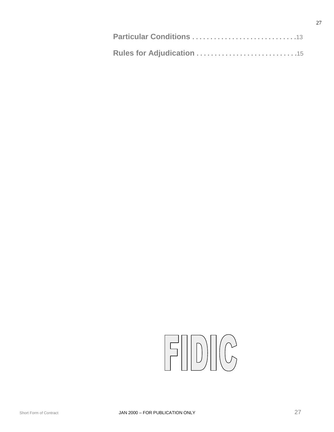# $\fbox{2pt} \begin{picture}(120,15) \label{picc} \put(0,0){\dashbox{0.5}(120,0){ }} \put(15,0){\circle{10}} \put(25,0){\circle{10}} \put(25,0){\circle{10}} \put(25,0){\circle{10}} \put(25,0){\circle{10}} \put(25,0){\circle{10}} \put(25,0){\circle{10}} \put(25,0){\circle{10}} \put(25,0){\circle{10}} \put(25,0){\circle{10}} \put(25,0){\circle{10}} \put(25,0){\circle{10}} \put(25,$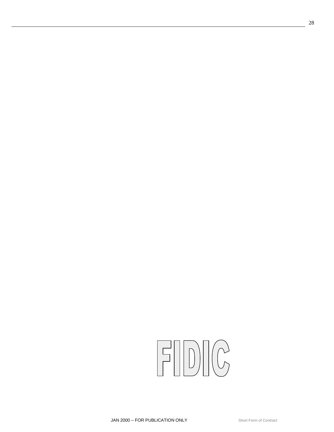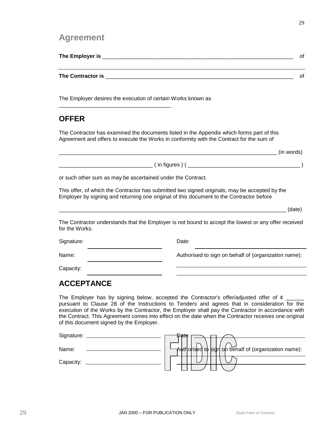#### **Agreement**

|                                                              | οf                                                                                                                                                                                                                                                                                                      |
|--------------------------------------------------------------|---------------------------------------------------------------------------------------------------------------------------------------------------------------------------------------------------------------------------------------------------------------------------------------------------------|
|                                                              | <u> 1989 - Johann John Stone, mensk politik en beskrivet og det forskeller og det forskeller og det forskeller og</u><br>οf                                                                                                                                                                             |
| The Employer desires the execution of certain Works known as |                                                                                                                                                                                                                                                                                                         |
| <b>OFFER</b>                                                 |                                                                                                                                                                                                                                                                                                         |
|                                                              | The Contractor has examined the documents listed in the Appendix which forms part of this<br>Agreement and offers to execute the Works in conformity with the Contract for the sum of                                                                                                                   |
|                                                              |                                                                                                                                                                                                                                                                                                         |
|                                                              | __________________________________(in figures )(________________________________                                                                                                                                                                                                                        |
| or such other sum as may be ascertained under the Contract.  |                                                                                                                                                                                                                                                                                                         |
|                                                              | This offer, of which the Contractor has submitted two signed originals, may be accepted by the<br>Employer by signing and returning one original of this document to the Contractor before                                                                                                              |
|                                                              | (date)                                                                                                                                                                                                                                                                                                  |
| for the Works.                                               | The Contractor understands that the Employer is not bound to accept the lowest or any offer received                                                                                                                                                                                                    |
| Signature:                                                   | Date:                                                                                                                                                                                                                                                                                                   |
| Name:                                                        | Authorised to sign on behalf of (organization name):                                                                                                                                                                                                                                                    |
| Capacity:                                                    |                                                                                                                                                                                                                                                                                                         |
| <b>ACCEPTANCE</b>                                            |                                                                                                                                                                                                                                                                                                         |
|                                                              | The Employer has by signing below, accepted the Contractor's offer/adjusted offer of $\phi$ ____<br>pursuant to Clause 28 of the Instructions to Tenders and agrees that in consideration for the<br>execution of the Works by the Contractor, the Employer shall pay the Contractor in accordance with |

| Signature: | Đate:                                                |
|------------|------------------------------------------------------|
|            |                                                      |
| Name:      | Aψthorised to sign on behalf of (organization name): |
|            |                                                      |
| Capacity:  |                                                      |
|            |                                                      |

the Contract. This Agreement comes into effect on the date when the Contractor receives one original

of this document signed by the Employer.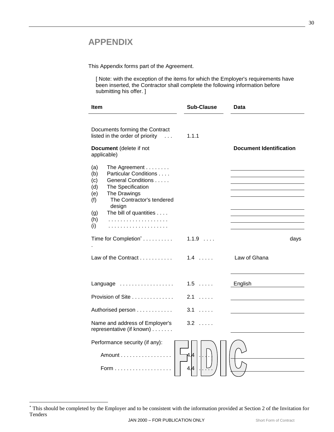#### **APPENDIX**

This Appendix forms part of the Agreement.

[ Note: with the exception of the items for which the Employer's requirements have been inserted, the Contractor shall complete the following information before submitting his offer. ]

| Item                                                                                                                                                                                                                                   | <b>Sub-Clause</b> | Data                           |  |  |  |  |  |
|----------------------------------------------------------------------------------------------------------------------------------------------------------------------------------------------------------------------------------------|-------------------|--------------------------------|--|--|--|--|--|
| Documents forming the Contract<br>listed in the order of priority<br>$\cdots$                                                                                                                                                          | 1.1.1             |                                |  |  |  |  |  |
| Document (delete if not<br>applicable)                                                                                                                                                                                                 |                   | <b>Document Identification</b> |  |  |  |  |  |
| (a)<br>The Agreement<br>Particular Conditions<br>(b)<br>General Conditions<br>(c)<br>The Specification<br>(d)<br>The Drawings<br>(e)<br>The Contractor's tendered<br>(f)<br>design<br>The bill of quantities<br>(g)<br>(h)<br>.<br>(i) |                   |                                |  |  |  |  |  |
| Time for Completion*                                                                                                                                                                                                                   | $1.1.9$           | days                           |  |  |  |  |  |
| Law of the Contract                                                                                                                                                                                                                    | $1.4$             | Law of Ghana                   |  |  |  |  |  |
| Language                                                                                                                                                                                                                               | $1.5$             | English                        |  |  |  |  |  |
| Provision of Site                                                                                                                                                                                                                      | 21<br>$\sim$      |                                |  |  |  |  |  |
| Authorised person                                                                                                                                                                                                                      | 3.1<br>1.1.1.1    |                                |  |  |  |  |  |
| Name and address of Employer's<br>representative (if known)                                                                                                                                                                            | $3.2 \ldots$      |                                |  |  |  |  |  |
| Performance security (if any):<br>Amount                                                                                                                                                                                               | 4 IA              |                                |  |  |  |  |  |
| Form                                                                                                                                                                                                                                   | 4.                |                                |  |  |  |  |  |

 $\overline{a}$ 

<sup>\*</sup> This should be completed by the Employer and to be consistent with the information provided at Section 2 of the Invitation for Tenders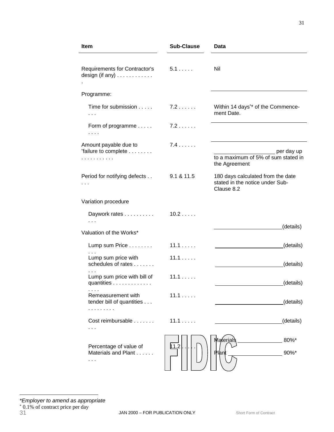| Item                                                                 | <b>Sub-Clause</b> | Data                                                                               |  |  |  |  |  |
|----------------------------------------------------------------------|-------------------|------------------------------------------------------------------------------------|--|--|--|--|--|
| Requirements for Contractor's<br>design (if any) $\dots \dots \dots$ | $5.1 \ldots$      | Nil                                                                                |  |  |  |  |  |
| Programme:                                                           |                   |                                                                                    |  |  |  |  |  |
| Time for submission<br>$\sim 100$                                    | 7.2               | Within 14 days** of the Commence-<br>ment Date.                                    |  |  |  |  |  |
| Form of programme<br>$\sim 100$ km s $^{-1}$                         | 7.2               |                                                                                    |  |  |  |  |  |
| Amount payable due to<br>failure to complete<br>.                    | $7.4 \ldots$      | per day up<br>to a maximum of 5% of sum stated in<br>the Agreement                 |  |  |  |  |  |
| Period for notifying defects<br>.                                    | 9.1 & 11.5        | 180 days calculated from the date<br>stated in the notice under Sub-<br>Clause 8.2 |  |  |  |  |  |
| Variation procedure                                                  |                   |                                                                                    |  |  |  |  |  |
| Daywork rates<br>$\sim 100$ km $^{-1}$                               | 10.2              |                                                                                    |  |  |  |  |  |
| Valuation of the Works*                                              |                   | (details)                                                                          |  |  |  |  |  |
| Lump sum Price                                                       | 11.1              | (details)                                                                          |  |  |  |  |  |
| $\sim$ $\sim$ $\sim$<br>Lump sum price with<br>schedules of rates    | 11.1              | (details)                                                                          |  |  |  |  |  |
| $\sim 100$<br>Lump sum price with bill of<br>quantities              | 11.1              | (details)                                                                          |  |  |  |  |  |
| .<br>Remeasurement with<br>tender bill of quantities                 | 11.1              | (details)                                                                          |  |  |  |  |  |
| .                                                                    |                   |                                                                                    |  |  |  |  |  |
| Cost reimbursable<br>$\sim$ $\sim$                                   | 11.1              | (details)                                                                          |  |  |  |  |  |
| Percentage of value of<br>Materials and Plant<br>$\sim$ $\sim$       | $1.2$ .           | Materials<br>$80\%$ *<br>Plant<br>90%*                                             |  |  |  |  |  |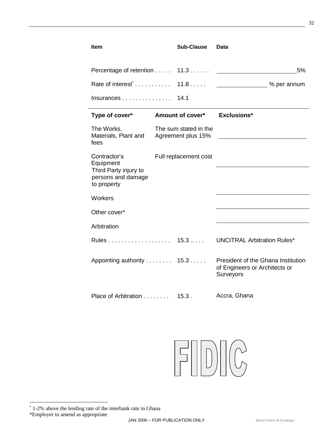| <b>Item</b>                                                                             | <b>Sub-Clause</b>                            | Data                                                                                                                                                                                                                                                                           |
|-----------------------------------------------------------------------------------------|----------------------------------------------|--------------------------------------------------------------------------------------------------------------------------------------------------------------------------------------------------------------------------------------------------------------------------------|
| Rate of interest <sup>*</sup><br>$insurances \ldots \ldots \ldots \ldots$               | Percentage of retention 11.3<br>11.8<br>14.1 | 5%<br><u>and the state of the state of the state of the state of the state of the state of the state of the state of the state of the state of the state of the state of the state of the state of the state of the state of the state</u><br>_____________________% per annum |
| Type of cover*                                                                          | Amount of cover*                             | <b>Exclusions*</b>                                                                                                                                                                                                                                                             |
| The Works,<br>Materials, Plant and<br>fees                                              | The sum stated in the<br>Agreement plus 15%  |                                                                                                                                                                                                                                                                                |
| Contractor's<br>Equipment<br>Third Party injury to<br>persons and damage<br>to property | Full replacement cost                        |                                                                                                                                                                                                                                                                                |
| Workers                                                                                 |                                              |                                                                                                                                                                                                                                                                                |
| Other cover*                                                                            |                                              |                                                                                                                                                                                                                                                                                |
| Arbitration                                                                             |                                              |                                                                                                                                                                                                                                                                                |
| Rules 15.3                                                                              |                                              | <b>UNCITRAL Arbitration Rules*</b>                                                                                                                                                                                                                                             |
| Appointing authority 15.3                                                               |                                              | President of the Ghana Institution<br>of Engineers or Architects or<br>Surveyors                                                                                                                                                                                               |
| Place of Arbitration                                                                    | 15.3.                                        | Accra, Ghana                                                                                                                                                                                                                                                                   |



\* 1-2% above the lending rate of the interbank rate in Ghana

 $\overline{a}$ 

<sup>\*</sup>Employer to amend as appropriate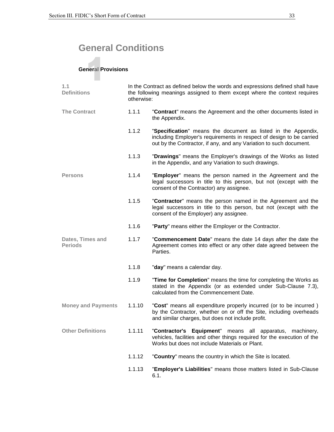#### **General Conditions**

#### **General Provisions**

| 1.1<br><b>Definitions</b>          | In the Contract as defined below the words and expressions defined shall have<br>the following meanings assigned to them except where the context requires<br>otherwise: |                                                                                                                                                                                                             |  |  |  |  |
|------------------------------------|--------------------------------------------------------------------------------------------------------------------------------------------------------------------------|-------------------------------------------------------------------------------------------------------------------------------------------------------------------------------------------------------------|--|--|--|--|
| <b>The Contract</b>                | 1.1.1                                                                                                                                                                    | "Contract" means the Agreement and the other documents listed in<br>the Appendix.                                                                                                                           |  |  |  |  |
|                                    | 1.1.2                                                                                                                                                                    | "Specification" means the document as listed in the Appendix,<br>including Employer's requirements in respect of design to be carried<br>out by the Contractor, if any, and any Variation to such document. |  |  |  |  |
|                                    | 1.1.3                                                                                                                                                                    | "Drawings" means the Employer's drawings of the Works as listed<br>in the Appendix, and any Variation to such drawings.                                                                                     |  |  |  |  |
| <b>Persons</b>                     | 1.1.4                                                                                                                                                                    | "Employer" means the person named in the Agreement and the<br>legal successors in title to this person, but not (except with the<br>consent of the Contractor) any assignee.                                |  |  |  |  |
|                                    | 1.1.5                                                                                                                                                                    | "Contractor" means the person named in the Agreement and the<br>legal successors in title to this person, but not (except with the<br>consent of the Employer) any assignee.                                |  |  |  |  |
|                                    | 1.1.6                                                                                                                                                                    | "Party" means either the Employer or the Contractor.                                                                                                                                                        |  |  |  |  |
| Dates, Times and<br><b>Periods</b> | 1.1.7                                                                                                                                                                    | "Commencement Date" means the date 14 days after the date the<br>Agreement comes into effect or any other date agreed between the<br>Parties.                                                               |  |  |  |  |
|                                    | 1.1.8                                                                                                                                                                    | "day" means a calendar day.                                                                                                                                                                                 |  |  |  |  |
|                                    | 1.1.9                                                                                                                                                                    | "Time for Completion" means the time for completing the Works as<br>stated in the Appendix (or as extended under Sub-Clause 7.3),<br>calculated from the Commencement Date.                                 |  |  |  |  |
| <b>Money and Payments</b>          | 1.1.10                                                                                                                                                                   | "Cost" means all expenditure properly incurred (or to be incurred)<br>by the Contractor, whether on or off the Site, including overheads<br>and similar charges, but does not include profit.               |  |  |  |  |
| <b>Other Definitions</b>           | 1.1.11                                                                                                                                                                   | "Contractor's Equipment" means all apparatus, machinery,<br>vehicles, facilities and other things required for the execution of the<br>Works but does not include Materials or Plant.                       |  |  |  |  |
|                                    | 1.1.12                                                                                                                                                                   | "Country" means the country in which the Site is located.                                                                                                                                                   |  |  |  |  |
|                                    | 1.1.13                                                                                                                                                                   | "Employer's Liabilities" means those matters listed in Sub-Clause<br>6.1.                                                                                                                                   |  |  |  |  |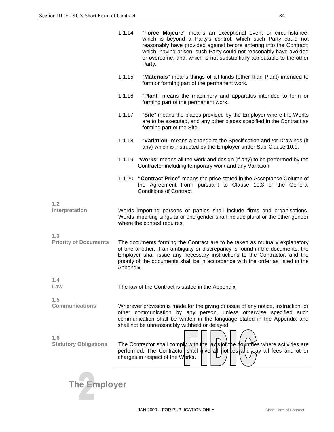|                                     | 1.1.14<br>"Force Majeure" means an exceptional event or circumstance:<br>which is beyond a Party's control; which such Party could not<br>reasonably have provided against before entering into the Contract;<br>which, having arisen, such Party could not reasonably have avoided<br>or overcome; and, which is not substantially attributable to the other<br>Party. |  |  |  |  |  |
|-------------------------------------|-------------------------------------------------------------------------------------------------------------------------------------------------------------------------------------------------------------------------------------------------------------------------------------------------------------------------------------------------------------------------|--|--|--|--|--|
|                                     | 1.1.15<br>"Materials" means things of all kinds (other than Plant) intended to<br>form or forming part of the permanent work.                                                                                                                                                                                                                                           |  |  |  |  |  |
|                                     | 1.1.16<br>"Plant" means the machinery and apparatus intended to form or<br>forming part of the permanent work.                                                                                                                                                                                                                                                          |  |  |  |  |  |
|                                     | 1.1.17<br>"Site" means the places provided by the Employer where the Works<br>are to be executed, and any other places specified in the Contract as<br>forming part of the Site.                                                                                                                                                                                        |  |  |  |  |  |
|                                     | 1.1.18<br>"Variation" means a change to the Specification and /or Drawings (if<br>any) which is instructed by the Employer under Sub-Clause 10.1.                                                                                                                                                                                                                       |  |  |  |  |  |
|                                     | 1.1.19 "Works" means all the work and design (if any) to be performed by the<br>Contractor including temporary work and any Variation                                                                                                                                                                                                                                   |  |  |  |  |  |
|                                     | 1.1.20 "Contract Price" means the price stated in the Acceptance Column of<br>the Agreement Form pursuant to Clause 10.3 of the General<br><b>Conditions of Contract</b>                                                                                                                                                                                                |  |  |  |  |  |
| 1.2<br>Interpretation               | Words importing persons or parties shall include firms and organisations.<br>Words importing singular or one gender shall include plural or the other gender<br>where the context requires.                                                                                                                                                                             |  |  |  |  |  |
| 1.3<br><b>Priority of Documents</b> | The documents forming the Contract are to be taken as mutually explanatory<br>of one another. If an ambiguity or discrepancy is found in the documents, the<br>Employer shall issue any necessary instructions to the Contractor, and the<br>priority of the documents shall be in accordance with the order as listed in the<br>Appendix.                              |  |  |  |  |  |
| 1.4<br>Law                          | The law of the Contract is stated in the Appendix.                                                                                                                                                                                                                                                                                                                      |  |  |  |  |  |
| 1.5<br><b>Communications</b>        | Wherever provision is made for the giving or issue of any notice, instruction, or<br>other communication by any person, unless otherwise specified such<br>communication shall be written in the language stated in the Appendix and<br>shall not be unreasonably withheld or delayed.                                                                                  |  |  |  |  |  |
| 1.6<br><b>Statutory Obligations</b> | The Contractor shall comply with the laws of the countries where activities are<br>performed. The Contractor shall give all hotices and gay all fees and other<br>charges in respect of the Works.                                                                                                                                                                      |  |  |  |  |  |
| <b>The Employer</b>                 |                                                                                                                                                                                                                                                                                                                                                                         |  |  |  |  |  |
|                                     |                                                                                                                                                                                                                                                                                                                                                                         |  |  |  |  |  |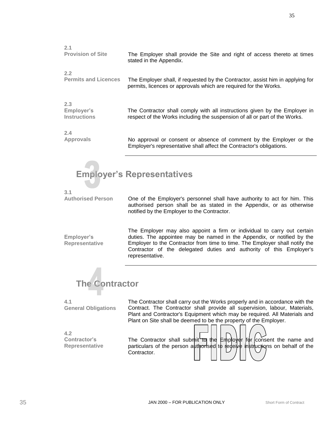| 2.1<br><b>Provision of Site</b>          | The Employer shall provide the Site and right of access thereto at times<br>stated in the Appendix.                                                                                                                                                                                                     |  |
|------------------------------------------|---------------------------------------------------------------------------------------------------------------------------------------------------------------------------------------------------------------------------------------------------------------------------------------------------------|--|
| 2.2<br><b>Permits and Licences</b>       | The Employer shall, if requested by the Contractor, assist him in applying for<br>permits, licences or approvals which are required for the Works.                                                                                                                                                      |  |
| 2.3<br>Employer's<br><b>Instructions</b> | The Contractor shall comply with all instructions given by the Employer in<br>respect of the Works including the suspension of all or part of the Works.                                                                                                                                                |  |
| 2.4<br><b>Approvals</b>                  | No approval or consent or absence of comment by the Employer or the<br>Employer's representative shall affect the Contractor's obligations.                                                                                                                                                             |  |
| <b>Employer's Representatives</b>        |                                                                                                                                                                                                                                                                                                         |  |
| 3.1<br><b>Authorised Person</b>          | One of the Employer's personnel shall have authority to act for him. This<br>authorised person shall be as stated in the Appendix, or as otherwise<br>notified by the Employer to the Contractor.                                                                                                       |  |
| Employer's<br><b>Representative</b>      | The Employer may also appoint a firm or individual to carry out certain<br>duties. The appointee may be named in the Appendix, or notified by the<br>Employer to the Contractor from time to time. The Employer shall notify the<br>Contractor of the delegated duties and authority of this Employer's |  |



representative.

**4.1 General Obligations** The Contractor shall carry out the Works properly and in accordance with the Contract. The Contractor shall provide all supervision, labour, Materials, Plant and Contractor's Equipment which may be required. All Materials and Plant on Site shall be deemed to be the property of the Employer. **4.2 Contractor's Representative** The Contractor shall submit to the Employer for consent the name and particulars of the person authorised to receive instructions on behalf of the Contractor.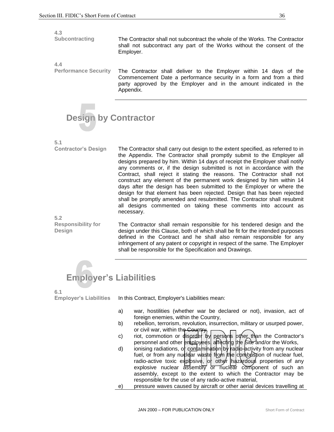**4.3**

| Subcontracting                     | The Contractor shall not subcontract the whole of the Works. The Contractor<br>shall not subcontract any part of the Works without the consent of the<br>Employer. |  |
|------------------------------------|--------------------------------------------------------------------------------------------------------------------------------------------------------------------|--|
| 4.4<br><b>Performance Security</b> | The Contractor shall deliver to the Employer within 14 days of the                                                                                                 |  |
|                                    | Commencement Date a performance security in a form and from a third<br>party approved by the Employer and in the amount indicated in the<br>Appendix.              |  |
| <b>Design by Contractor</b>        |                                                                                                                                                                    |  |
| 5.1<br><b>Contractor's Design</b>  | The Contractor shall carry out design to the extent specified, as referred to in<br>the Appendix. The Contractor shall promptly submit to the Employer all         |  |

**5.2 Responsibility for Design**

The Contractor shall remain responsible for his tendered design and the design under this Clause, both of which shall be fit for the intended purposes defined in the Contract and he shall also remain responsible for any infringement of any patent or copyright in respect of the same. The Employer shall be responsible for the Specification and Drawings.

designs prepared by him. Within 14 days of receipt the Employer shall notify any comments or, if the design submitted is not in accordance with the Contract, shall reject it stating the reasons. The Contractor shall not construct any element of the permanent work designed by him within 14 days after the design has been submitted to the Employer or where the design for that element has been rejected. Design that has been rejected shall be promptly amended and resubmitted. The Contractor shall resubmit all designs commented on taking these comments into account as

# **Employer's Liabilities**

necessary.

**6.1**

**Employer's Liabilities** In this Contract, Employer's Liabilities mean:

- a) war, hostilities (whether war be declared or not), invasion, act of foreign enemies, within the Country,
- b) rebellion, terrorism, revolution, insurrection, military or usurped power, or civil war, within the Country,
- c) riot, commotion or disproter by persons bther than the Contractor's personnel and other embployeds, alffecting the Site and/or the Works,
- d) ionising radiations, or contamination by radio-activity from any nuclear fuel, or from any nuclear wasted from the combustion of nuclear fuel, radio-active toxic explosive, or other hazardous properties of any explosive nuclear assembly or nuclear component of such an assembly, except to the extent to which the Contractor may be responsible for the use of any radio-active material,
- e) pressure waves caused by aircraft or other aerial devices travelling at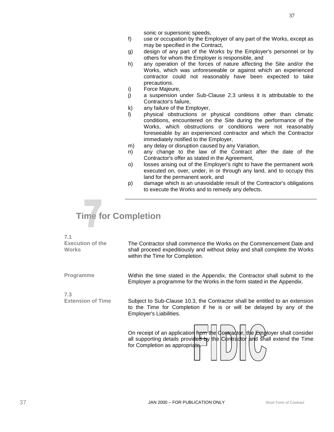sonic or supersonic speeds,

- f) use or occupation by the Employer of any part of the Works, except as may be specified in the Contract,
- g) design of any part of the Works by the Employer's personnel or by others for whom the Employer is responsible, and
- h) any operation of the forces of nature affecting the Site and/or the Works, which was unforeseeable or against which an experienced contractor could not reasonably have been expected to take precautions.
- i) Force Majeure,
- j) a suspension under Sub-Clause 2.3 unless it is attributable to the Contractor's failure,
- k) any failure of the Employer,
- l) physical obstructions or physical conditions other than climatic conditions, encountered on the Site during the performance of the Works, which obstructions or conditions were not reasonably foreseeable by an experienced contractor and which the Contractor immediately notified to the Employer,
- m) any delay or disruption caused by any Variation,
- n) any change to the law of the Contract after the date of the Contractor's offer as stated in the Agreement,
- o) losses arising out of the Employer's right to have the permanent work executed on, over, under, in or through any land, and to occupy this land for the permanent work, and
- p) damage which is an unavoidable result of the Contractor's obligations to execute the Works and to remedy any defects.



| 7.1<br><b>Execution of the</b><br><b>Works</b> | The Contractor shall commence the Works on the Commencement Date and<br>shall proceed expeditiously and without delay and shall complete the Works<br>within the Time for Completion.         |
|------------------------------------------------|-----------------------------------------------------------------------------------------------------------------------------------------------------------------------------------------------|
| <b>Programme</b>                               | Within the time stated in the Appendix, the Contractor shall submit to the<br>Employer a programme for the Works in the form stated in the Appendix.                                          |
| 7.3                                            |                                                                                                                                                                                               |
| <b>Extension of Time</b>                       | Subject to Sub-Clause 10.3, the Contractor shall be entitled to an extension<br>to the Time for Completion if he is or will be delayed by any of the<br>Employer's Liabilities.               |
|                                                | On receipt of an application frpm the Contractor, the Employer shall consider<br>all supporting details provided by the Contractor and shall extend the Time<br>for Completion as appropriate |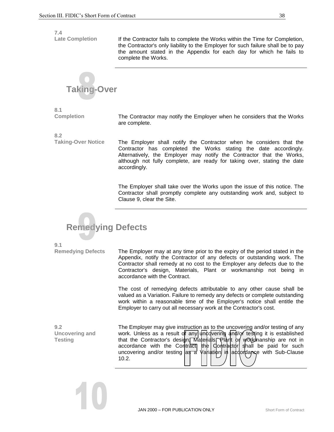| ▃ |  |
|---|--|
|   |  |

Late Completion **If the Contractor fails to complete the Works within the Time for Completion,** the Contractor's only liability to the Employer for such failure shall be to pay the amount stated in the Appendix for each day for which he fails to complete the Works.

**Taking-Over**

**8.1**

**Completion** The Contractor may notify the Employer when he considers that the Works are complete.

**8.2**

**Taking-Over Notice** The Employer shall notify the Contractor when he considers that the Contractor has completed the Works stating the date accordingly. Alternatively, the Employer may notify the Contractor that the Works, although not fully complete, are ready for taking over, stating the date accordingly.

> The Employer shall take over the Works upon the issue of this notice. The Contractor shall promptly complete any outstanding work and, subject to Clause 9, clear the Site.



**9.1**

**Remedying Defects** The Employer may at any time prior to the expiry of the period stated in the Appendix, notify the Contractor of any defects or outstanding work. The Contractor shall remedy at no cost to the Employer any defects due to the Contractor's design, Materials, Plant or workmanship not being in accordance with the Contract.

> The cost of remedying defects attributable to any other cause shall be valued as a Variation. Failure to remedy any defects or complete outstanding work within a reasonable time of the Employer's notice shall entitle the Employer to carry out all necessary work at the Contractor's cost.

| 9.2<br>Uncovering and<br><b>Testing</b> | The Employer may give instruction as to the uncovering and/or testing of any<br>work. Unless as a result of any uncovering and/or testing it is established<br>that the Contractor's design, Materials $\Gamma$ -Plant by work manship are not in |
|-----------------------------------------|---------------------------------------------------------------------------------------------------------------------------------------------------------------------------------------------------------------------------------------------------|
|                                         | accordance with the Contract, the Contractor shall be paid for such<br>uncovering and/or testing $\left  \text{as} \right $ Variation in $\left  \text{a}\right $ addordance with Sub-Clause                                                      |
|                                         | 10.2.                                                                                                                                                                                                                                             |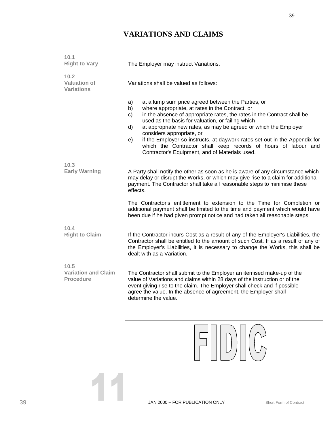#### **VARIATIONS AND CLAIMS**

| 10.1<br><b>Right to Vary</b>                           | The Employer may instruct Variations.                                                                                                                                                                                                                                                                                                                                                                                                                                                                                                                                  |  |  |
|--------------------------------------------------------|------------------------------------------------------------------------------------------------------------------------------------------------------------------------------------------------------------------------------------------------------------------------------------------------------------------------------------------------------------------------------------------------------------------------------------------------------------------------------------------------------------------------------------------------------------------------|--|--|
| 10.2<br>Valuation of<br><b>Variations</b>              | Variations shall be valued as follows:                                                                                                                                                                                                                                                                                                                                                                                                                                                                                                                                 |  |  |
|                                                        | at a lump sum price agreed between the Parties, or<br>a)<br>b)<br>where appropriate, at rates in the Contract, or<br>c)<br>in the absence of appropriate rates, the rates in the Contract shall be<br>used as the basis for valuation, or failing which<br>at appropriate new rates, as may be agreed or which the Employer<br>d)<br>considers appropriate, or<br>if the Employer so instructs, at daywork rates set out in the Appendix for<br>e)<br>which the Contractor shall keep records of hours of labour and<br>Contractor's Equipment, and of Materials used. |  |  |
| 10.3<br><b>Early Warning</b>                           | A Party shall notify the other as soon as he is aware of any circumstance which<br>may delay or disrupt the Works, or which may give rise to a claim for additional<br>payment. The Contractor shall take all reasonable steps to minimise these<br>effects.                                                                                                                                                                                                                                                                                                           |  |  |
|                                                        | The Contractor's entitlement to extension to the Time for Completion or<br>additional payment shall be limited to the time and payment which would have<br>been due if he had given prompt notice and had taken all reasonable steps.                                                                                                                                                                                                                                                                                                                                  |  |  |
| 10.4<br><b>Right to Claim</b>                          | If the Contractor incurs Cost as a result of any of the Employer's Liabilities, the<br>Contractor shall be entitled to the amount of such Cost. If as a result of any of<br>the Employer's Liabilities, it is necessary to change the Works, this shall be<br>dealt with as a Variation.                                                                                                                                                                                                                                                                               |  |  |
| 10.5<br><b>Variation and Claim</b><br><b>Procedure</b> | The Contractor shall submit to the Employer an itemised make-up of the<br>value of Variations and claims within 28 days of the instruction or of the<br>event giving rise to the claim. The Employer shall check and if possible<br>agree the value. In the absence of agreement, the Employer shall<br>determine the value.                                                                                                                                                                                                                                           |  |  |

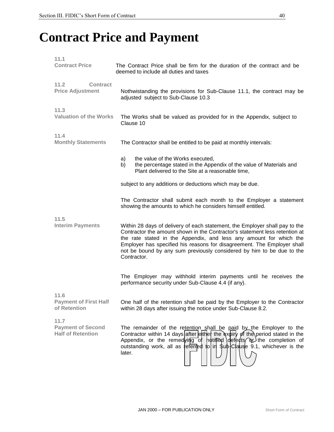# **Contract Price and Payment**

| 11.1<br><b>Contract Price</b>                                | The Contract Price shall be firm for the duration of the contract and be<br>deemed to include all duties and taxes                                                                                                                                                                                                                                                                                  |  |
|--------------------------------------------------------------|-----------------------------------------------------------------------------------------------------------------------------------------------------------------------------------------------------------------------------------------------------------------------------------------------------------------------------------------------------------------------------------------------------|--|
| 11.2<br>Contract<br><b>Price Adjustment</b>                  | Nothwistanding the provisions for Sub-Clause 11.1, the contract may be<br>adjusted subject to Sub-Clause 10.3                                                                                                                                                                                                                                                                                       |  |
| 11.3<br><b>Valuation of the Works</b>                        | The Works shall be valued as provided for in the Appendix, subject to<br>Clause 10                                                                                                                                                                                                                                                                                                                  |  |
| 11.4<br><b>Monthly Statements</b>                            | The Contractor shall be entitled to be paid at monthly intervals:                                                                                                                                                                                                                                                                                                                                   |  |
|                                                              | the value of the Works executed,<br>a)<br>the percentage stated in the Appendix of the value of Materials and<br>b)<br>Plant delivered to the Site at a reasonable time,                                                                                                                                                                                                                            |  |
|                                                              | subject to any additions or deductions which may be due.                                                                                                                                                                                                                                                                                                                                            |  |
|                                                              | The Contractor shall submit each month to the Employer a statement<br>showing the amounts to which he considers himself entitled.                                                                                                                                                                                                                                                                   |  |
| 11.5<br><b>Interim Payments</b>                              | Within 28 days of delivery of each statement, the Employer shall pay to the<br>Contractor the amount shown in the Contractor's statement less retention at<br>the rate stated in the Appendix, and less any amount for which the<br>Employer has specified his reasons for disagreement. The Employer shall<br>not be bound by any sum previously considered by him to be due to the<br>Contractor. |  |
|                                                              | The Employer may withhold interim payments until he receives the<br>performance security under Sub-Clause 4.4 (if any).                                                                                                                                                                                                                                                                             |  |
| 11.6<br><b>Payment of First Half</b><br>of Retention         | One half of the retention shall be paid by the Employer to the Contractor<br>within 28 days after issuing the notice under Sub-Clause 8.2.                                                                                                                                                                                                                                                          |  |
| 11.7<br><b>Payment of Second</b><br><b>Half of Retention</b> | The remainder of the retention shall be paid by the Employer to the<br>Contractor within 14 days after either the expiry of the period stated in the<br>Appendix, or the remedying of hotilied defects or the completion of<br>outstanding work, all as referred to in Sub-Clause 9.1, whichever is the<br>later.                                                                                   |  |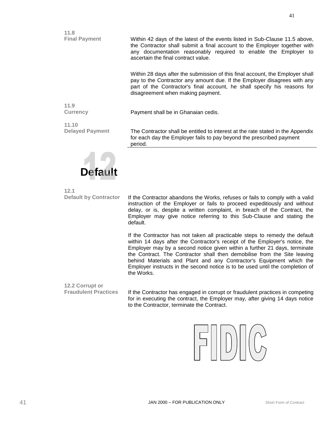**11.8 Final Payment** Within 42 days of the latest of the events listed in Sub-Clause 11.5 above, the Contractor shall submit a final account to the Employer together with any documentation reasonably required to enable the Employer to ascertain the final contract value. Within 28 days after the submission of this final account, the Employer shall pay to the Contractor any amount due. If the Employer disagrees with any part of the Contractor's final account, he shall specify his reasons for disagreement when making payment. **11.9 Currency** Payment shall be in Ghanaian cedis. **11.10 Delayed Payment** The Contractor shall be entitled to interest at the rate stated in the Appendix for each day the Employer fails to pay beyond the prescribed payment period.



**12.1**

**Default by Contractor** If the Contractor abandons the Works, refuses or fails to comply with a valid instruction of the Employer or fails to proceed expeditiously and without delay, or is, despite a written complaint, in breach of the Contract, the Employer may give notice referring to this Sub-Clause and stating the default.

> If the Contractor has not taken all practicable steps to remedy the default within 14 days after the Contractor's receipt of the Employer's notice, the Employer may by a second notice given within a further 21 days, terminate the Contract. The Contractor shall then demobilise from the Site leaving behind Materials and Plant and any Contractor's Equipment which the Employer instructs in the second notice is to be used until the completion of the Works.

**12.2 Corrupt or** 

**Fraudulent Practices** If the Contractor has engaged in corrupt or fraudulent practices in competing for in executing the contract, the Employer may, after giving 14 days notice to the Contractor, terminate the Contract.

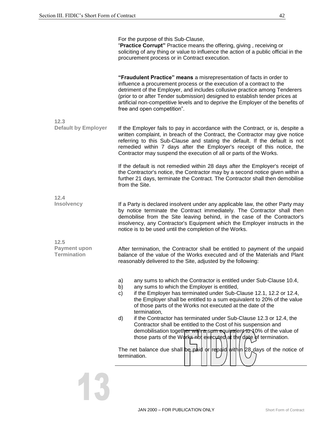|                                                   | For the purpose of this Sub-Clause,<br>"Practice Corrupt" Practice means the offering, giving, receiving or<br>soliciting of any thing or value to influence the action of a public official in the<br>procurement process or in Contract execution.                                                                                                                                                                           |  |  |
|---------------------------------------------------|--------------------------------------------------------------------------------------------------------------------------------------------------------------------------------------------------------------------------------------------------------------------------------------------------------------------------------------------------------------------------------------------------------------------------------|--|--|
|                                                   | "Fraudulent Practice" means a misrepresentation of facts in order to<br>influence a procurement process or the execution of a contract to the<br>detriment of the Employer, and includes collusive practice among Tenderers<br>(prior to or after Tender submission) designed to establish tender prices at<br>artificial non-competitive levels and to deprive the Employer of the benefits of<br>free and open competition". |  |  |
| 12.3<br><b>Default by Employer</b>                | If the Employer fails to pay in accordance with the Contract, or is, despite a<br>written complaint, in breach of the Contract, the Contractor may give notice<br>referring to this Sub-Clause and stating the default. If the default is not<br>remedied within 7 days after the Employer's receipt of this notice, the<br>Contractor may suspend the execution of all or parts of the Works.                                 |  |  |
|                                                   | If the default is not remedied within 28 days after the Employer's receipt of<br>the Contractor's notice, the Contractor may by a second notice given within a<br>further 21 days, terminate the Contract. The Contractor shall then demobilise<br>from the Site.                                                                                                                                                              |  |  |
| 12.4<br>Insolvency                                | If a Party is declared insolvent under any applicable law, the other Party may<br>by notice terminate the Contract immediately. The Contractor shall then<br>demobilise from the Site leaving behind, in the case of the Contractor's<br>insolvency, any Contractor's Equipment which the Employer instructs in the<br>notice is to be used until the completion of the Works.                                                 |  |  |
| 12.5<br><b>Payment upon</b><br><b>Termination</b> | After termination, the Contractor shall be entitled to payment of the unpaid<br>balance of the value of the Works executed and of the Materials and Plant<br>reasonably delivered to the Site, adjusted by the following:                                                                                                                                                                                                      |  |  |
|                                                   | any sums to which the Contractor is entitled under Sub-Clause 10.4,<br>a)<br>any sums to which the Employer is entitled,<br>b)<br>if the Employer has terminated under Sub-Clause 12.1, 12.2 or 12.4,<br>C)<br>the Employer shall be entitled to a sum equivalent to 20% of the value<br>of those parts of the Works not executed at the date of the<br>termination,                                                           |  |  |
|                                                   | d)<br>if the Contractor has terminated under Sub-Clause 12.3 or 12.4, the<br>Contractor shall be entitled to the Cost of his suspension and<br>demobilisation together with a sum equivalent to 10% of the value of<br>those parts of the Works not executed at the date of termination.                                                                                                                                       |  |  |
|                                                   | The net balance due shall be paid or repaid within 28 days of the notice of<br>termination.                                                                                                                                                                                                                                                                                                                                    |  |  |
|                                                   |                                                                                                                                                                                                                                                                                                                                                                                                                                |  |  |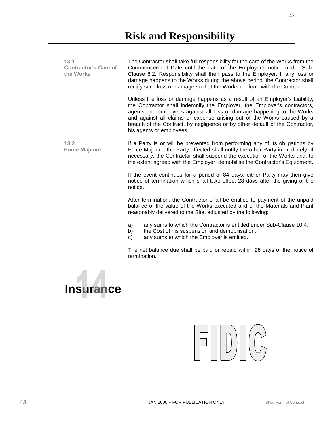# **Risk and Responsibility**

| 13.1<br><b>Contractor's Care of</b><br>the Works | The Contractor shall take full responsibility for the care of the Works from the<br>Commencement Date until the date of the Employer's notice under Sub-<br>Clause 8.2. Responsibility shall then pass to the Employer. If any loss or<br>damage happens to the Works during the above period, the Contractor shall<br>rectify such loss or damage so that the Works conform with the Contract.                       |  |
|--------------------------------------------------|-----------------------------------------------------------------------------------------------------------------------------------------------------------------------------------------------------------------------------------------------------------------------------------------------------------------------------------------------------------------------------------------------------------------------|--|
|                                                  | Unless the loss or damage happens as a result of an Employer's Liability,<br>the Contractor shall indemnify the Employer, the Employer's contractors,<br>agents and employees against all loss or damage happening to the Works<br>and against all claims or expense arising out of the Works caused by a<br>breach of the Contract, by negligence or by other default of the Contractor,<br>his agents or employees. |  |
| 13.2<br><b>Force Majeure</b>                     | If a Party is or will be prevented from performing any of its obligations by<br>Force Majeure, the Party affected shall notify the other Party immediately. If<br>necessary, the Contractor shall suspend the execution of the Works and, to<br>the extent agreed with the Employer, demobilise the Contractor's Equipment.                                                                                           |  |
|                                                  | If the event continues for a period of 84 days, either Party may then give<br>notice of termination which shall take effect 28 days after the giving of the<br>notice.                                                                                                                                                                                                                                                |  |
|                                                  | After termination, the Contractor shall be entitled to payment of the unpaid<br>balance of the value of the Works executed and of the Materials and Plant<br>reasonably delivered to the Site, adjusted by the following:                                                                                                                                                                                             |  |
|                                                  | any sums to which the Contractor is entitled under Sub-Clause 10.4,<br>a)<br>the Cost of his suspension and demobilisation,<br>b)<br>any sums to which the Employer is entitled.<br>C)                                                                                                                                                                                                                                |  |
|                                                  | The net balance due shall be paid or repaid within 28 days of the notice of<br>termination.                                                                                                                                                                                                                                                                                                                           |  |



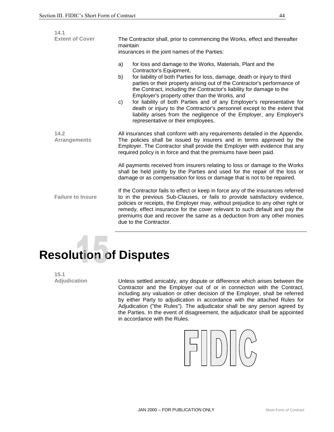| 14.1                        |                                                                                                                                                                                                                                                                                                                                                                                                                                       |  |
|-----------------------------|---------------------------------------------------------------------------------------------------------------------------------------------------------------------------------------------------------------------------------------------------------------------------------------------------------------------------------------------------------------------------------------------------------------------------------------|--|
| <b>Extent of Cover</b>      | The Contractor shall, prior to commencing the Works, effect and thereafter<br>maintain                                                                                                                                                                                                                                                                                                                                                |  |
|                             | insurances in the joint names of the Parties:                                                                                                                                                                                                                                                                                                                                                                                         |  |
|                             | for loss and damage to the Works, Materials, Plant and the<br>a)<br>Contractor's Equipment,                                                                                                                                                                                                                                                                                                                                           |  |
|                             | for liability of both Parties for loss, damage, death or injury to third<br>b)<br>parties or their property arising out of the Contractor's performance of<br>the Contract, including the Contractor's liability for damage to the<br>Employer's property other than the Works, and                                                                                                                                                   |  |
|                             | for liability of both Parties and of any Employer's representative for<br>$\mathsf{C}$<br>death or injury to the Contractor's personnel except to the extent that<br>liability arises from the negligence of the Employer, any Employer's<br>representative or their employees.                                                                                                                                                       |  |
| 14.2<br><b>Arrangements</b> | All insurances shall conform with any requirements detailed in the Appendix.<br>The policies shall be issued by insurers and in terms approved by the<br>Employer. The Contractor shall provide the Employer with evidence that any<br>required policy is in force and that the premiums have been paid.                                                                                                                              |  |
|                             | All payments received from insurers relating to loss or damage to the Works<br>shall be held jointly by the Parties and used for the repair of the loss or<br>damage or as compensation for loss or damage that is not to be repaired.                                                                                                                                                                                                |  |
| <b>Failure to Insure</b>    | If the Contractor fails to effect or keep in force any of the insurances referred<br>to in the previous Sub-Clauses, or fails to provide satisfactory evidence,<br>policies or receipts, the Employer may, without prejudice to any other right or<br>remedy, effect insurance for the cover relevant to such default and pay the<br>premiums due and recover the same as a deduction from any other monies<br>due to the Contractor. |  |
|                             |                                                                                                                                                                                                                                                                                                                                                                                                                                       |  |

# **Resolution of Disputes**

**15.1**

**Adjudication** Unless settled amicably, any dispute or difference which arises between the Contractor and the Employer out of or in connection with the Contract, including any valuation or other decision of the Employer, shall be referred by either Party to adjudication in accordance with the attached Rules for Adjudication ("the Rules"). The adjudicator shall be any person agreed by the Parties. In the event of disagreement, the adjudicator shall be appointed in accordance with the Rules.

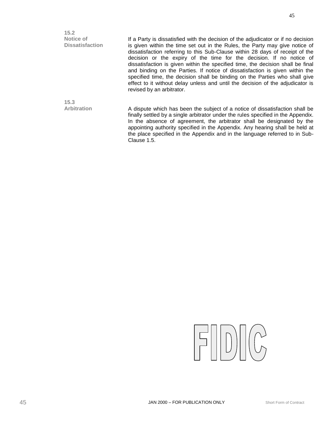| 15.2                                       |                                                                                                                                                                                                                                                                                                                                                                                                                                                                                                                                                                                                                                                                                            |
|--------------------------------------------|--------------------------------------------------------------------------------------------------------------------------------------------------------------------------------------------------------------------------------------------------------------------------------------------------------------------------------------------------------------------------------------------------------------------------------------------------------------------------------------------------------------------------------------------------------------------------------------------------------------------------------------------------------------------------------------------|
| <b>Notice of</b><br><b>Dissatisfaction</b> | If a Party is dissatisfied with the decision of the adjudicator or if no decision<br>is given within the time set out in the Rules, the Party may give notice of<br>dissatisfaction referring to this Sub-Clause within 28 days of receipt of the<br>decision or the expiry of the time for the decision. If no notice of<br>dissatisfaction is given within the specified time, the decision shall be final<br>and binding on the Parties. If notice of dissatisfaction is given within the<br>specified time, the decision shall be binding on the Parties who shall give<br>effect to it without delay unless and until the decision of the adjudicator is<br>revised by an arbitrator. |
| 15.3                                       |                                                                                                                                                                                                                                                                                                                                                                                                                                                                                                                                                                                                                                                                                            |
| <b>Arbitration</b>                         | A dispute which has been the subject of a notice of dissatisfaction shall be<br>finally settled by a single arbitrator under the rules specified in the Appendix.<br>In the absence of agreement, the arbitrator shall be designated by the<br>appointing authority specified in the Appendix. Any hearing shall be held at<br>the place specified in the Appendix and in the language referred to in Sub-<br>Clause 1.5.                                                                                                                                                                                                                                                                  |

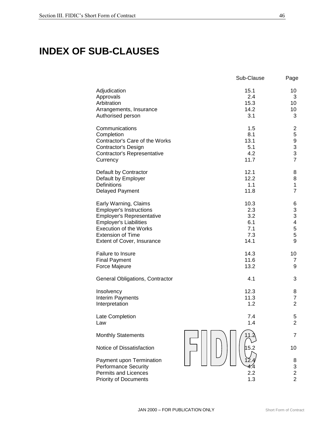# **INDEX OF SUB-CLAUSES**

|                                                                                                                                  | Sub-Clause                               | Page                                                        |
|----------------------------------------------------------------------------------------------------------------------------------|------------------------------------------|-------------------------------------------------------------|
| Adjudication                                                                                                                     | 15.1                                     | 10                                                          |
| Approvals                                                                                                                        | 2.4                                      | 3                                                           |
| Arbitration                                                                                                                      | 15.3                                     | 10                                                          |
| Arrangements, Insurance                                                                                                          | 14.2                                     | 10                                                          |
| Authorised person                                                                                                                | 3.1                                      | 3                                                           |
| Communications<br>Completion<br>Contractor's Care of the Works<br>Contractor's Design<br>Contractor's Representative<br>Currency | 1.5<br>8.1<br>13.1<br>5.1<br>4.2<br>11.7 | $\overline{c}$<br>5<br>9<br>$\frac{3}{3}$<br>$\overline{7}$ |
| Default by Contractor                                                                                                            | 12.1                                     | 8                                                           |
| Default by Employer                                                                                                              | 12.2                                     | 8                                                           |
| <b>Definitions</b>                                                                                                               | 1.1                                      | $\mathbf{1}$                                                |
| <b>Delayed Payment</b>                                                                                                           | 11.8                                     | $\overline{7}$                                              |
| Early Warning, Claims                                                                                                            | 10.3                                     | 6                                                           |
| <b>Employer's Instructions</b>                                                                                                   | 2.3                                      | 3                                                           |
| <b>Employer's Representative</b>                                                                                                 | 3.2                                      | 3                                                           |
| <b>Employer's Liabilities</b>                                                                                                    | 6.1                                      | 4                                                           |
| <b>Execution of the Works</b>                                                                                                    | 7.1                                      | 5                                                           |
| <b>Extension of Time</b>                                                                                                         | 7.3                                      | 5                                                           |
| <b>Extent of Cover, Insurance</b>                                                                                                | 14.1                                     | 9                                                           |
| Failure to Insure                                                                                                                | 14.3                                     | 10                                                          |
| <b>Final Payment</b>                                                                                                             | 11.6                                     | 7                                                           |
| Force Majeure                                                                                                                    | 13.2                                     | 9                                                           |
| General Obligations, Contractor                                                                                                  | 4.1                                      | 3                                                           |
| Insolvency                                                                                                                       | 12.3                                     | 8                                                           |
| Interim Payments                                                                                                                 | 11.3                                     | $\overline{7}$                                              |
| Interpretation                                                                                                                   | 1.2                                      | $\overline{2}$                                              |
| Late Completion                                                                                                                  | 7.4                                      | 5                                                           |
| Law                                                                                                                              | 1.4                                      | 2                                                           |
| <b>Monthly Statements</b>                                                                                                        |                                          | 7                                                           |
| Notice of Dissatisfaction                                                                                                        | 15.2                                     | 10                                                          |
| Payment upon Termination<br><b>Performance Security</b><br><b>Permits and Licences</b><br><b>Priority of Documents</b>           | 2.2<br>1.3                               | 8<br>3<br>$\overline{\mathbf{c}}$<br>$\overline{2}$         |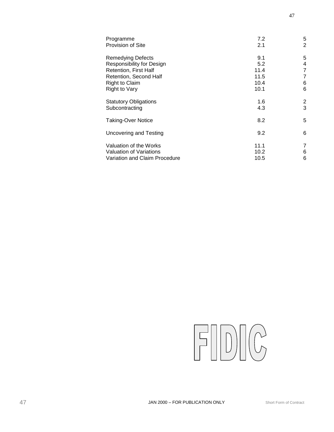| Programme<br><b>Provision of Site</b>                 | 7.2<br>2.1 | 5<br>$\overline{2}$ |
|-------------------------------------------------------|------------|---------------------|
|                                                       |            |                     |
| <b>Remedying Defects</b><br>Responsibility for Design | 9.1<br>5.2 | 5<br>4              |
| Retention, First Half                                 | 11.4       | 7                   |
| Retention, Second Half                                | 11.5       | 7                   |
| <b>Right to Claim</b>                                 | 10.4       | 6                   |
| Right to Vary                                         | 10.1       | 6                   |
| <b>Statutory Obligations</b>                          | 1.6        | 2                   |
| Subcontracting                                        | 4.3        | 3                   |
| <b>Taking-Over Notice</b>                             | 8.2        | 5                   |
| Uncovering and Testing                                | 9.2        | 6                   |
| Valuation of the Works                                | 11.1       | 7                   |
| Valuation of Variations                               | 10.2       | 6                   |
| Variation and Claim Procedure                         | 10.5       | 6                   |

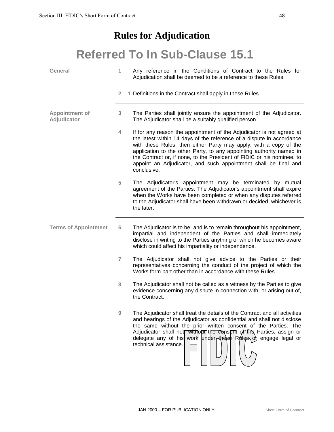# **Rules for Adjudication**

# **Referred To In Sub-Clause 15.1**

| General                       | 1              | Any reference in the Conditions of Contract to the Rules for<br>Adjudication shall be deemed to be a reference to these Rules.                                                                                                                                                                                                                                                                                                                          |
|-------------------------------|----------------|---------------------------------------------------------------------------------------------------------------------------------------------------------------------------------------------------------------------------------------------------------------------------------------------------------------------------------------------------------------------------------------------------------------------------------------------------------|
|                               | 2              | 1 Definitions in the Contract shall apply in these Rules.                                                                                                                                                                                                                                                                                                                                                                                               |
| Appointment of<br>Adjudicator | 3              | The Parties shall jointly ensure the appointment of the Adjudicator.<br>The Adjudicator shall be a suitably qualified person                                                                                                                                                                                                                                                                                                                            |
|                               | 4              | If for any reason the appointment of the Adjudicator is not agreed at<br>the latest within 14 days of the reference of a dispute in accordance<br>with these Rules, then either Party may apply, with a copy of the<br>application to the other Party, to any appointing authority named in<br>the Contract or, if none, to the President of FIDIC or his nominee, to<br>appoint an Adjudicator, and such appointment shall be final and<br>conclusive. |
|                               | 5              | The Adjudicator's appointment may be terminated by mutual<br>agreement of the Parties. The Adjudicator's appointment shall expire<br>when the Works have been completed or when any disputes referred<br>to the Adjudicator shall have been withdrawn or decided, whichever is<br>the later.                                                                                                                                                            |
| <b>Terms of Appointment</b>   | 6              | The Adjudicator is to be, and is to remain throughout his appointment,<br>impartial and independent of the Parties and shall immediately<br>disclose in writing to the Parties anything of which he becomes aware<br>which could affect his impartiality or independence.                                                                                                                                                                               |
|                               | $\overline{7}$ | The Adjudicator shall not give advice to the Parties or their<br>representatives concerning the conduct of the project of which the<br>Works form part other than in accordance with these Rules.                                                                                                                                                                                                                                                       |
|                               | 8              | The Adjudicator shall not be called as a witness by the Parties to give<br>evidence concerning any dispute in connection with, or arising out of,<br>the Contract.                                                                                                                                                                                                                                                                                      |
|                               | 9              | The Adjudicator shall treat the details of the Contract and all activities<br>and hearings of the Adjudicator as confidential and shall not disclose<br>the same without the prior written consent of the Parties. The<br>Adjudicator shall not with put the consent of the Parties, assign or<br>delegate any of his work under these Rules of engage legal or<br>technical assistance.                                                                |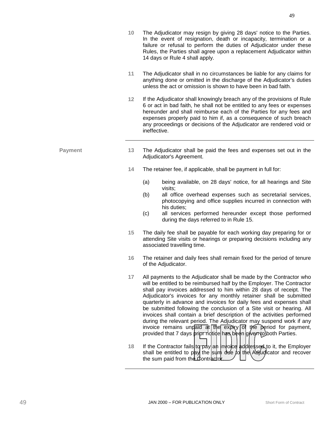- **10** The Adjudicator may resign by giving 28 days' notice to the Parties. In the event of resignation, death or incapacity, termination or a failure or refusal to perform the duties of Adjudicator under these Rules, the Parties shall agree upon a replacement Adjudicator within 14 days or Rule 4 shall apply.
- **11** The Adjudicator shall in no circumstances be liable for any claims for anything done or omitted in the discharge of the Adjudicator's duties unless the act or omission is shown to have been in bad faith.
- **12** If the Adjudicator shall knowingly breach any of the provisions of Rule 6 or act in bad faith, he shall not be entitled to any fees or expenses hereunder and shall reimburse each of the Parties for any fees and expenses properly paid to him if, as a consequence of such breach any proceedings or decisions of the Adjudicator are rendered void or ineffective.
- **Payment 13** The Adjudicator shall be paid the fees and expenses set out in the Adjudicator's Agreement.
	- **14** The retainer fee, if applicable, shall be payment in full for:
		- (a) being available, on 28 days' notice, for all hearings and Site visits;
		- (b) all office overhead expenses such as secretarial services, photocopying and office supplies incurred in connection with his duties;
		- (c) all services performed hereunder except those performed during the days referred to in Rule 15.
	- **15** The daily fee shall be payable for each working day preparing for or attending Site visits or hearings or preparing decisions including any associated travelling time.
	- **16** The retainer and daily fees shall remain fixed for the period of tenure of the Adjudicator.
	- **17** All payments to the Adjudicator shall be made by the Contractor who will be entitled to be reimbursed half by the Employer. The Contractor shall pay invoices addressed to him within 28 days of receipt. The Adjudicator's invoices for any monthly retainer shall be submitted quarterly in advance and invoices for daily fees and expenses shall be submitted following the conclusion of a Site visit or hearing. All invoices shall contain a brief description of the activities performed during the relevant period. The Adjudicator may suspend work if any invoice remains unpaid at the expiry of the period for payment, provided that 7 days pripr notice has been given to both Parties.
	- 18 If the Contractor fails to pay an invoice addressed to it, the Employer shall be entitled to pay the sum due to the Adjudicator and recover the sum paid from the Contractor.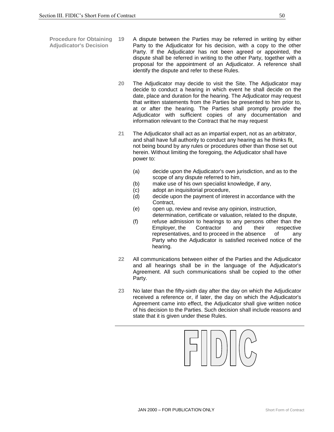**Procedure for Obtaining Adjudicator's Decision**

- **19** A dispute between the Parties may be referred in writing by either Party to the Adjudicator for his decision, with a copy to the other Party. If the Adjudicator has not been agreed or appointed, the dispute shall be referred in writing to the other Party, together with a proposal for the appointment of an Adjudicator. A reference shall identify the dispute and refer to these Rules.
	- **20** The Adjudicator may decide to visit the Site. The Adjudicator may decide to conduct a hearing in which event he shall decide on the date, place and duration for the hearing. The Adjudicator may request that written statements from the Parties be presented to him prior to, at or after the hearing. The Parties shall promptly provide the Adjudicator with sufficient copies of any documentation and information relevant to the Contract that he may request
	- **21** The Adjudicator shall act as an impartial expert, not as an arbitrator, and shall have full authority to conduct any hearing as he thinks fit, not being bound by any rules or procedures other than those set out herein. Without limiting the foregoing, the Adjudicator shall have power to:
		- (a) decide upon the Adjudicator's own jurisdiction, and as to the scope of any dispute referred to him,
		- (b) make use of his own specialist knowledge, if any,
		- (c) adopt an inquisitorial procedure,
		- (d) decide upon the payment of interest in accordance with the Contract,
		- (e) open up, review and revise any opinion, instruction, determination, certificate or valuation, related to the dispute,
		- (f) refuse admission to hearings to any persons other than the Employer, the Contractor and their respective representatives, and to proceed in the absence of any Party who the Adjudicator is satisfied received notice of the hearing.
	- **22** All communications between either of the Parties and the Adjudicator and all hearings shall be in the language of the Adjudicator's Agreement. All such communications shall be copied to the other Party.
	- **23** No later than the fifty-sixth day after the day on which the Adjudicator received a reference or, if later, the day on which the Adjudicator's Agreement came into effect, the Adjudicator shall give written notice of his decision to the Parties. Such decision shall include reasons and state that it is given under these Rules.

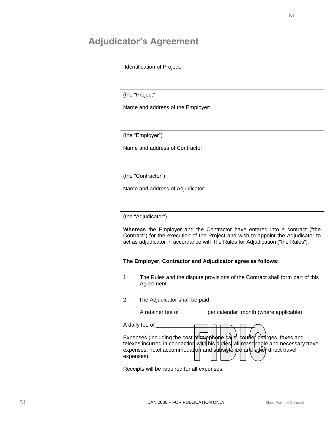#### **Adjudicator's Agreement**

Identification of Project:

(the "Project"

Name and address of the Employer:

(the "Employer")

Name and address of Contractor:

(the "Contractor")

Name and address of Adjudicator:

(the "Adjudicator")

**Whereas** the Employer and the Contractor have entered into a contract ("the Contract") for the execution of the Project and wish to appoint the Adjudicator to act as adjudicator in accordance with the Rules for Adjudication ["the Rules"].

#### **The Employer, Contractor and Adjudicator agree as follows:**

- 1. The Rules and the dispute provisions of the Contract shall form part of this Agreement.
- 2. The Adjudicator shall be paid:

A retainer fee of per calendar month (where applicable)

| A daily fee of |                                                                                     |
|----------------|-------------------------------------------------------------------------------------|
|                | Expenses (including the cost of telephone calls) courier charges, faxes and         |
|                | telexes incurred in connection with his duties, all reasonable and necessary travel |
|                | expenses, hotel accommodation and subsistence and other direct travel               |
| expenses).     |                                                                                     |

Receipts will be required for all expenses.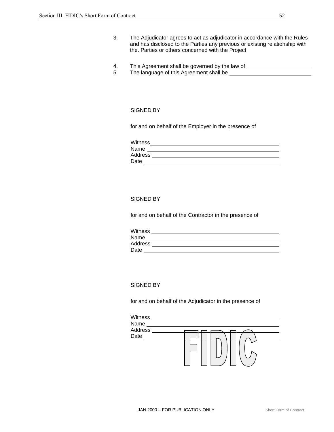- 3. The Adjudicator agrees to act as adjudicator in accordance with the Rules and has disclosed to the Parties any previous or existing relationship with the. Parties or others concerned with the Project
- 4. This Agreement shall be governed by the law of \_\_\_\_\_\_\_\_\_\_\_\_\_\_\_\_\_\_\_\_\_\_\_\_\_\_\_\_\_\_<br>5. The language of this Agreement shall be The language of this Agreement shall be

#### SIGNED BY

for and on behalf of the Employer in the presence of

| Witness |  |
|---------|--|
| Name    |  |
| Address |  |
| Date    |  |

#### SIGNED BY

for and on behalf of the Contractor in the presence of

| Witness |  |
|---------|--|
| Name    |  |
| Address |  |
| Date    |  |

#### SIGNED BY

for and on behalf of the Adjudicator in the presence of

| Witness |  |
|---------|--|
| Name    |  |
| Address |  |
| Date    |  |
|         |  |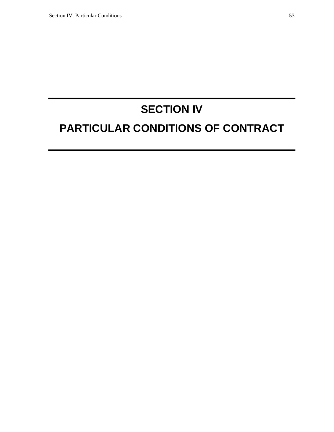# **SECTION IV**

# **PARTICULAR CONDITIONS OF CONTRACT**